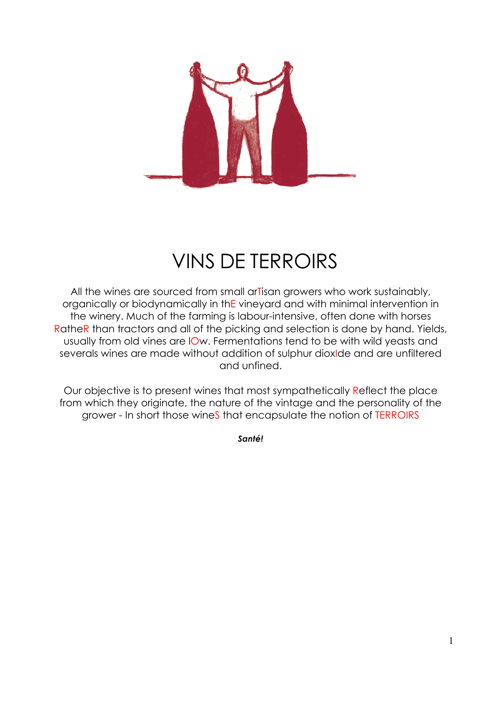

### VINS DE TERROIRS

All the wines are sourced from small arTisan growers who work sustainably, organically or biodynamically in thE vineyard and with minimal intervention in the winery. Much of the farming is labour-intensive, often done with horses RatheR than tractors and all of the picking and selection is done by hand. Yields, usually from old vines are lOw. Fermentations tend to be with wild yeasts and severals wines are made without addition of sulphur dioxIde and are unfiltered and unfined.

Our objective is to present wines that most sympathetically Reflect the place from which they originate, the nature of the vintage and the personality of the grower - In short those wineS that encapsulate the notion of TERROIRS

*Santé!*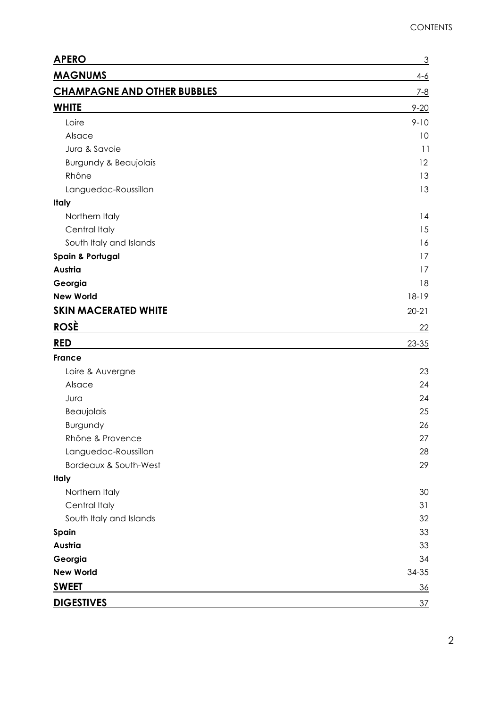| <b>APERO</b>                       | $\overline{3}$ |
|------------------------------------|----------------|
| <b>MAGNUMS</b>                     | $4 - 6$        |
| <b>CHAMPAGNE AND OTHER BUBBLES</b> | $7 - 8$        |
| <b>WHITE</b>                       | $9 - 20$       |
| Loire                              | $9 - 10$       |
| Alsace                             | 10             |
| Jura & Savoie                      | 11             |
| <b>Burgundy &amp; Beaujolais</b>   | 12             |
| Rhône                              | 13             |
| Languedoc-Roussillon               | 13             |
| <b>Italy</b>                       |                |
| Northern Italy                     | 14             |
| Central Italy                      | 15             |
| South Italy and Islands            | 16             |
| <b>Spain &amp; Portugal</b>        | 17             |
| Austria                            | 17             |
| Georgia                            | 18             |
| <b>New World</b>                   | $18-19$        |
| <b>SKIN MACERATED WHITE</b>        | $20 - 21$      |
| <b>ROSÈ</b>                        | 22             |
| <b>RED</b>                         | $23 - 35$      |
| <b>France</b>                      |                |
| Loire & Auvergne                   | 23             |
| Alsace                             | 24             |
| Jura                               | 24             |
| Beaujolais                         | 25             |
| Burgundy                           | 26             |
| Rhône & Provence                   | 27             |
| Languedoc-Roussillon               | 28             |
| Bordeaux & South-West              | 29             |
| <b>Italy</b>                       |                |
| Northern Italy                     | 30             |
| Central Italy                      | 31             |
| South Italy and Islands            | 32             |
| Spain                              | 33             |
| Austria                            | 33             |
| Georgia                            | 34             |
| <b>New World</b>                   | 34-35          |
| <b>SWEET</b>                       | 36             |
| <b>DIGESTIVES</b>                  | <u>37</u>      |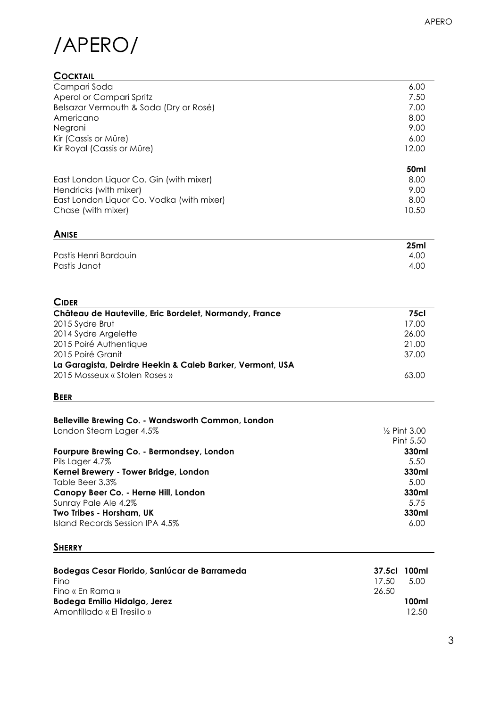## /APERO/

#### **COCKTAIL**

| Campari Soda                              | 6.00             |
|-------------------------------------------|------------------|
| Aperol or Campari Spritz                  | 7.50             |
| Belsazar Vermouth & Soda (Dry or Rosé)    | 7.00             |
| Americano                                 | 8.00             |
| Negroni                                   | 9.00             |
| Kir (Cassis or Mûre)                      | 6.00             |
| Kir Royal (Cassis or Mûre)                | 12.00            |
|                                           | 50 <sub>ml</sub> |
| East London Liquor Co. Gin (with mixer)   | 8.00             |
| Hendricks (with mixer)                    | 9.00             |
| East London Liquor Co. Vodka (with mixer) | 8.00             |
| Chase (with mixer)                        | 10.50            |

### **ANISE**

|                       | 25 <sub>ml</sub> |
|-----------------------|------------------|
| Pastis Henri Bardouin | 4.00             |
| Pastis Janot          | 4.00             |

| <b>CIDER</b>                                              |             |
|-----------------------------------------------------------|-------------|
| Château de Hauteville, Eric Bordelet, Normandy, France    | <b>75cl</b> |
| 2015 Sydre Brut                                           | 17.00       |
| 2014 Sydre Argelette                                      | 26.00       |
| 2015 Poiré Authentique                                    | 21.00       |
| 2015 Poiré Granit                                         | 37.00       |
| La Garagista, Deirdre Heekin & Caleb Barker, Vermont, USA |             |
| 2015 Mosseux « Stolen Roses »                             | 63.00       |

#### **BEER**

| Belleville Brewing Co. - Wandsworth Common, London |                         |
|----------------------------------------------------|-------------------------|
| London Steam Lager 4.5%                            | $\frac{1}{2}$ Pint 3.00 |
|                                                    | Pint 5.50               |
| Fourpure Brewing Co. - Bermondsey, London          | 330ml                   |
| Pils Lager 4.7%                                    | 5.50                    |
| Kernel Brewery - Tower Bridge, London              | 330ml                   |
| Table Beer 3.3%                                    | 5.00                    |
| Canopy Beer Co. - Herne Hill, London               | 330ml                   |
| Sunray Pale Ale 4.2%                               | 5.75                    |
| Two Tribes - Horsham, UK                           | 330ml                   |
| Island Records Session IPA 4.5%                    | 6.00                    |

#### **SHERRY SHERRY**

| Bodegas Cesar Florido, Sanlúcar de Barrameda<br><b>Fino</b> | 37.5cl 100ml<br>17.50 | 5.00  |
|-------------------------------------------------------------|-----------------------|-------|
| Fino « En Rama »                                            | 26.50                 |       |
| Bodega Emilio Hidalgo, Jerez                                |                       | 100ml |
| Amontillado « El Tresillo »                                 |                       | 12.50 |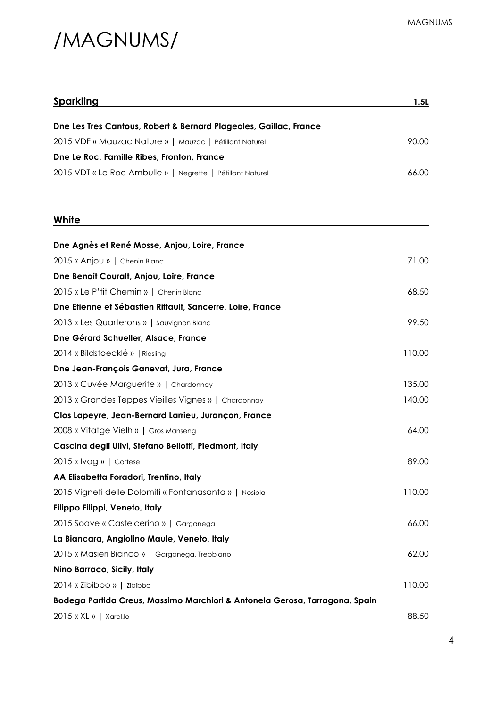### /MAGNUMS/

| <u>Sparkling</u>                                                            | 1.5L   |
|-----------------------------------------------------------------------------|--------|
| Dne Les Tres Cantous, Robert & Bernard Plageoles, Gaillac, France           |        |
| 2015 VDF « Mauzac Nature »   Mauzac   Pétillant Naturel                     | 90.00  |
| Dne Le Roc, Famille Ribes, Fronton, France                                  |        |
| 2015 VDT « Le Roc Ambulle »   Negrette   Pétillant Naturel                  | 66.00  |
| White                                                                       |        |
| Dne Agnès et René Mosse, Anjou, Loire, France                               |        |
| 2015 « Anjou »   Chenin Blanc                                               | 71.00  |
| Dne Benoit Couralt, Anjou, Loire, France                                    |        |
| 2015 « Le P'tit Chemin »   Chenin Blanc                                     | 68.50  |
| Dne Etienne et Sébastien Riffault, Sancerre, Loire, France                  |        |
| 2013 « Les Quarterons »   Sauvignon Blanc                                   | 99.50  |
| Dne Gérard Schueller, Alsace, France                                        |        |
| 2014 « Bildstoecklé »   Riesling                                            | 110.00 |
| Dne Jean-François Ganevat, Jura, France                                     |        |
| 2013 « Cuvée Marguerite »   Chardonnay                                      | 135.00 |
| 2013 « Grandes Teppes Vieilles Vignes »   Chardonnay                        | 140.00 |
| Clos Lapeyre, Jean-Bernard Larrieu, Jurançon, France                        |        |
| 2008 « Vitatge Vielh »   Gros Manseng                                       | 64.00  |
| Cascina degli Ulivi, Stefano Bellotti, Piedmont, Italy                      |        |
| 2015 « Ivag »   Cortese                                                     | 89.00  |
| AA Elisabetta Foradori, Trentino, Italy                                     |        |
| 2015 Vigneti delle Dolomiti « Fontanasanta »   Nosiola                      | 110.00 |
| Filippo Filippi, Veneto, Italy                                              |        |
| 2015 Soave « Castelcerino »   Garganega                                     | 66.00  |
| La Biancara, Angiolino Maule, Veneto, Italy                                 |        |
| 2015 « Masieri Bianco »   Garganega, Trebbiano                              | 62.00  |
| Nino Barraco, Sicily, Italy                                                 |        |
| 2014 « Zibibbo »   Zibibbo                                                  | 110.00 |
| Bodega Partida Creus, Massimo Marchiori & Antonela Gerosa, Tarragona, Spain |        |
| 2015 « XL »   Xarel.lo                                                      | 88.50  |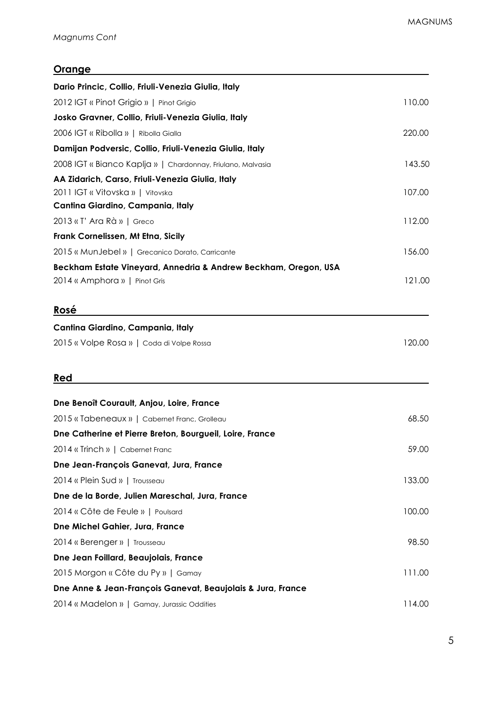**Dne Jean Foillard, Beaujolais, France**

**Dne Anne & Jean-François Ganevat, Beaujolais & Jura, France**

#### **Orange**

| Dario Princic, Collio, Friuli-Venezia Giulia, Italy             |        |
|-----------------------------------------------------------------|--------|
| 2012 IGT « Pinot Grigio »   Pinot Grigio                        | 110.00 |
| Josko Gravner, Collio, Friuli-Venezia Giulia, Italy             |        |
| 2006 IGT « Ribolla »   Ribolla Gialla                           | 220.00 |
| Damijan Podversic, Collio, Friuli-Venezia Giulia, Italy         |        |
| 2008 IGT « Bianco Kaplja »   Chardonnay, Friulano, Malvasia     | 143.50 |
| AA Zidarich, Carso, Friuli-Venezia Giulia, Italy                |        |
| 2011 IGT « Vitovska »   Vitovska                                | 107.00 |
| Cantina Giardino, Campania, Italy                               |        |
| 2013 « T' Ara Rà »   Greco                                      | 112.00 |
| Frank Cornelissen, Mt Etna, Sicily                              |        |
| 2015 « MunJebel »   Grecanico Dorato, Carricante                | 156.00 |
| Beckham Estate Vineyard, Annedria & Andrew Beckham, Oregon, USA |        |
| 2014 « Amphora »   Pinot Gris                                   | 121.00 |
| Rosé                                                            |        |
| Cantina Giardino, Campania, Italy                               |        |
| 2015 « Volpe Rosa »   Coda di Volpe Rossa                       | 120.00 |
| Red                                                             |        |
| Dne Benoît Courault, Anjou, Loire, France                       |        |
| 2015 « Tabeneaux »   Cabernet Franc, Grolleau                   | 68.50  |
| Dne Catherine et Pierre Breton, Bourgueil, Loire, France        |        |
| 2014 « Trinch »   Cabernet Franc                                | 59.00  |
| Dne Jean-François Ganevat, Jura, France                         |        |
| 2014 « Plein Sud »   Trousseau                                  | 133.00 |
| Dne de la Borde, Julien Mareschal, Jura, France                 |        |
| 2014 « Côte de Feule »   Poulsard                               | 100.00 |
| Dne Michel Gahier, Jura, France                                 |        |
| 2014 « Berenger »   Trousseau                                   | 98.50  |
|                                                                 |        |

2015 Morgon « Côte du Py » | Gamay 111.00

2014 « Madelon » | Gamay, Jurassic Oddities 114.00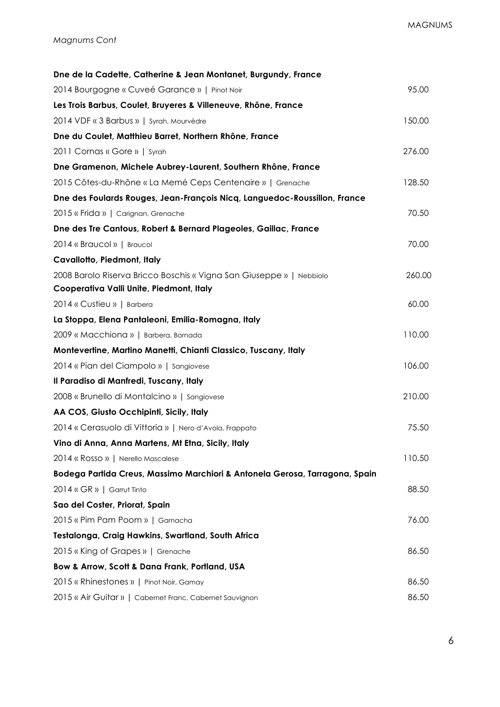| Dne de la Cadette, Catherine & Jean Montanet, Burgundy, France              |        |
|-----------------------------------------------------------------------------|--------|
| 2014 Bourgogne « Cuveé Garance »   Pinot Noir                               | 95.00  |
| Les Trois Barbus, Coulet, Bruyeres & Villeneuve, Rhône, France              |        |
| 2014 VDF « 3 Barbus »   Syrah, Mourvèdre                                    | 150.00 |
| Dne du Coulet, Matthieu Barret, Northern Rhône, France                      |        |
| 2011 Cornas « Gore »   Syrah                                                | 276.00 |
| Dne Gramenon, Michele Aubrey-Laurent, Southern Rhône, France                |        |
| 2015 Côtes-du-Rhône « La Memé Ceps Centenaire »   Grenache                  | 128.50 |
| Dne des Foulards Rouges, Jean-François Nicq, Languedoc-Roussillon, France   |        |
| 2015 « Frida »   Carignan, Grenache                                         | 70.50  |
| Dne des Tre Cantous, Robert & Bernard Plageoles, Gaillac, France            |        |
| 2014 « Braucol »   Braucol                                                  | 70.00  |
| Cavallotto, Piedmont, Italy                                                 |        |
| 2008 Barolo Riserva Bricco Boschis « Vigna San Giuseppe »   Nebbiolo        | 260.00 |
| Cooperativa Valli Unite, Piedmont, Italy                                    |        |
| 2014 « Custieu »   Barbera                                                  | 60.00  |
| La Stoppa, Elena Pantaleoni, Emilia-Romagna, Italy                          |        |
| 2009 « Macchiona »   Barbera, Bornada                                       | 110.00 |
| Montevertine, Martino Manetti, Chianti Classico, Tuscany, Italy             |        |
| 2014 « Pian del Ciampolo »   Sangiovese                                     | 106.00 |
| Il Paradiso di Manfredi, Tuscany, Italy                                     |        |
| 2008 « Brunello di Montalcino »   Sangiovese                                | 210.00 |
| AA COS, Giusto Occhipinti, Sicily, Italy                                    |        |
| 2014 « Cerasuolo di Vittoria »   Nero d'Avola, Frappato                     | 75.50  |
| Vino di Anna, Anna Martens, Mt Etna, Sicily, Italy                          |        |
| 2014 « Rosso »   Nerello Mascalese                                          | 110.50 |
| Bodega Partida Creus, Massimo Marchiori & Antonela Gerosa, Tarragona, Spain |        |
| 2014 « GR »   Garrut Tinto                                                  | 88.50  |
| Sao del Coster, Priorat, Spain                                              |        |
| 2015 « Pim Pam Poom »   Garnacha                                            | 76.00  |
| Testalonga, Craig Hawkins, Swartland, South Africa                          |        |
| 2015 « King of Grapes »   Grenache                                          | 86.50  |
| Bow & Arrow, Scott & Dana Frank, Portland, USA                              |        |
| 2015 « Rhinestones »   Pinot Noir, Gamay                                    | 86.50  |
| 2015 « Air Guitar »   Cabernet Franc, Cabernet Sauvignon                    | 86.50  |
|                                                                             |        |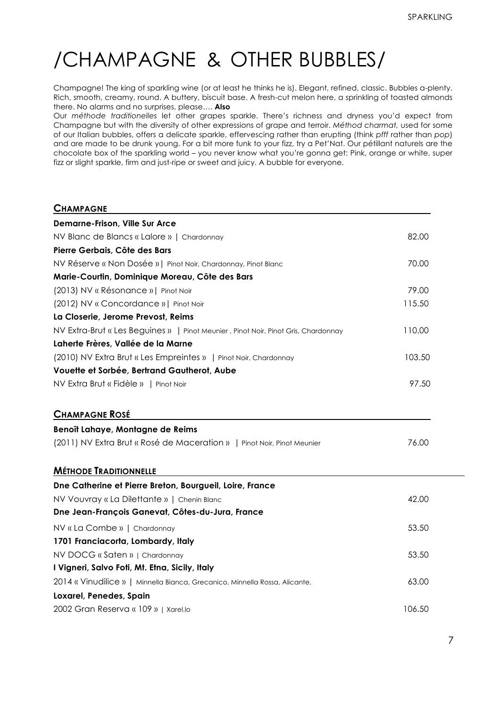### /CHAMPAGNE & OTHER BUBBLES/

Champagne! The king of sparkling wine (or at least he thinks he is). Elegant, refined, classic. Bubbles a-plenty. Rich, smooth, creamy, round. A buttery, biscuit base. A fresh-cut melon here, a sprinkling of toasted almonds there. No alarms and no surprises, please…. **Also**

Our *méthode traditionelles* let other grapes sparkle. There's richness and dryness you'd expect from Champagne but with the diversity of other expressions of grape and terroir. *Méthod charmat,* used for some of our Italian bubbles, offers a delicate sparkle, effervescing rather than erupting (think *pfff* rather than *pop*) and are made to be drunk young. For a bit more funk to your fizz, try a Pet'Nat. Our pétillant naturels are the chocolate box of the sparkling world – you never know what you're gonna get: Pink, orange or white, super fizz or slight sparkle, firm and just-ripe or sweet and juicy. A bubble for everyone.

| <b>CHAMPAGNE</b>                                                                   |        |
|------------------------------------------------------------------------------------|--------|
| <b>Demarne-Frison, Ville Sur Arce</b>                                              |        |
| NV Blanc de Blancs « Lalore »   Chardonnay                                         | 82.00  |
| Pierre Gerbais, Côte des Bars                                                      |        |
| NV Réserve « Non Dosée »   Pinot Noir, Chardonnay, Pinot Blanc                     | 70.00  |
| Marie-Courtin, Dominique Moreau, Côte des Bars                                     |        |
| (2013) NV « Résonance »   Pinot Noir                                               | 79.00  |
| (2012) NV « Concordance »   Pinot Noir                                             | 115.50 |
| La Closerie, Jerome Prevost, Reims                                                 |        |
| NV Extra-Brut « Les Beguines »   Pinot Meunier, Pinot Noir, Pinot Gris, Chardonnay | 110.00 |
| Laherte Frères, Vallée de la Marne                                                 |        |
| (2010) NV Extra Brut « Les Empreintes »   Pinot Noir, Chardonnay                   | 103.50 |
| Vouette et Sorbée, Bertrand Gautherot, Aube                                        |        |
| NV Extra Brut « Fidèle »   Pinot Noir                                              | 97.50  |
| <b>CHAMPAGNE ROSÉ</b>                                                              |        |
| Benoît Lahaye, Montagne de Reims                                                   |        |
| (2011) NV Extra Brut « Rosé de Maceration »   Pinot Noir, Pinot Meunier            | 76.00  |
| <b>MÉTHODE TRADITIONNELLE</b>                                                      |        |
| Dne Catherine et Pierre Breton, Bourgueil, Loire, France                           |        |
| NV Vouvray « La Dilettante »   Chenin Blanc                                        | 42.00  |
| Dne Jean-François Ganevat, Côtes-du-Jura, France                                   |        |
| NV « La Combe »   Chardonnay                                                       | 53.50  |
| 1701 Franciacorta, Lombardy, Italy                                                 |        |
| NV DOCG « Saten »   Chardonnay                                                     | 53.50  |
| I Vigneri, Salvo Foti, Mt. Etna, Sicily, Italy                                     |        |
| 2014 « Vinudilice »   Minnella Bianca, Grecanico, Minnella Rossa, Alicante,        | 63.00  |
| Loxarel, Penedes, Spain                                                            |        |
| 2002 Gran Reserva « 109 »   Xarel.lo                                               | 106.50 |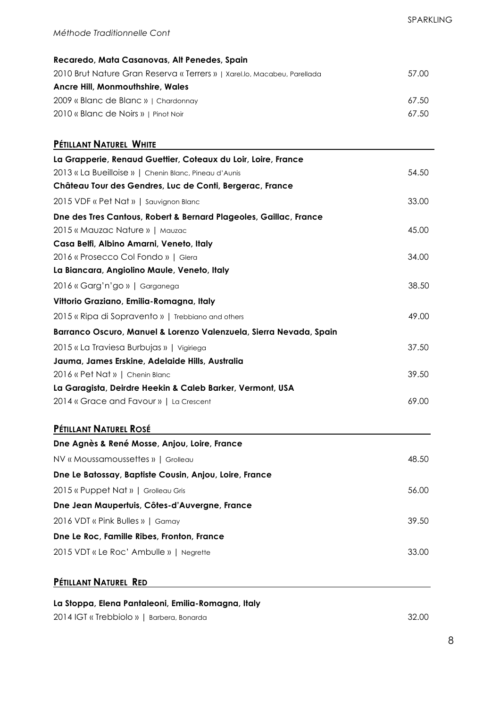| Recaredo, Mata Casanovas, Alt Penedes, Spain                             |       |
|--------------------------------------------------------------------------|-------|
| 2010 Brut Nature Gran Reserva « Terrers »   Xarel.lo, Macabeu, Parellada | 57.00 |
| <b>Ancre Hill, Monmouthshire, Wales</b>                                  |       |
| 2009 « Blanc de Blanc »   Chardonnay                                     | 67.50 |
| 2010 « Blanc de Noirs »   Pinot Noir                                     | 67.50 |

| PÉTILLANT NATUREL WHITE                                            |       |
|--------------------------------------------------------------------|-------|
| La Grapperie, Renaud Guettier, Coteaux du Loir, Loire, France      |       |
| 2013 « La Bueilloise »   Chenin Blanc, Pineau d'Aunis              | 54.50 |
| Château Tour des Gendres, Luc de Conti, Bergerac, France           |       |
| 2015 VDF « Pet Nat »   Sauvignon Blanc                             | 33.00 |
| Dne des Tres Cantous, Robert & Bernard Plageoles, Gaillac, France  |       |
| 2015 « Mauzac Nature »   Mauzac                                    | 45.00 |
| Casa Belfi, Albino Amarni, Veneto, Italy                           |       |
| 2016 « Prosecco Col Fondo »   Glera                                | 34.00 |
| La Biancara, Angiolino Maule, Veneto, Italy                        |       |
| 2016 « Garg'n'go »   Garganega                                     | 38.50 |
| Vittorio Graziano, Emilia-Romagna, Italy                           |       |
| 2015 « Ripa di Sopravento »   Trebbiano and others                 | 49.00 |
| Barranco Oscuro, Manuel & Lorenzo Valenzuela, Sierra Nevada, Spain |       |
| 2015 « La Traviesa Burbujas »   Vigiriega                          | 37.50 |
| Jauma, James Erskine, Adelaide Hills, Australia                    |       |
| 2016 « Pet Nat »   Chenin Blanc                                    | 39.50 |
| La Garagista, Deirdre Heekin & Caleb Barker, Vermont, USA          |       |
| 2014 « Grace and Favour »   La Crescent                            | 69.00 |

#### **PÉTILLANT NATUREL ROSÉ**

| Dne Agnès & René Mosse, Anjou, Loire, France           |       |
|--------------------------------------------------------|-------|
| NV « Moussamoussettes »   Grolleau                     | 48.50 |
| Dne Le Batossay, Baptiste Cousin, Anjou, Loire, France |       |
| 2015 « Puppet Nat »   Grolleau Gris                    | 56.00 |
| Dne Jean Maupertuis, Côtes-d'Auvergne, France          |       |
| 2016 VDT « Pink Bulles »   Gamay                       | 39.50 |
| Dne Le Roc, Famille Ribes, Fronton, France             |       |
| 2015 VDT « Le Roc' Ambulle »   Negrette                | 33.00 |

#### **PÉTILLANT NATUREL RED**

#### **La Stoppa, Elena Pantaleoni, Emilia-Romagna, Italy**

2014 IGT « Trebbiolo » | Barbera, Bonarda 32.00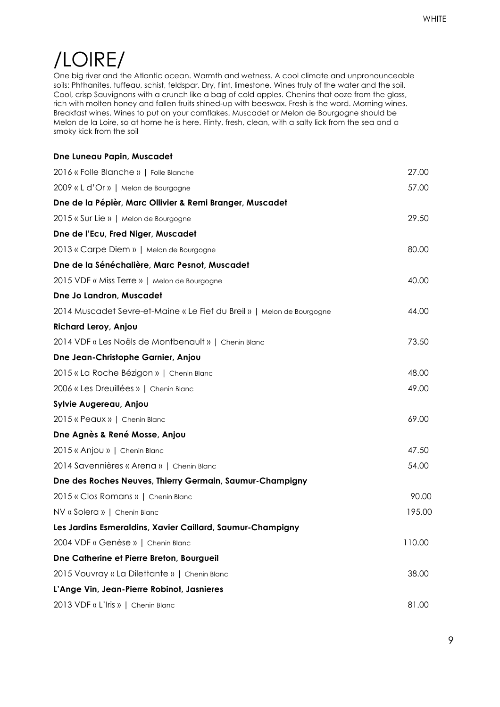### /LOIRE/

One big river and the Atlantic ocean. Warmth and wetness. A cool climate and unpronounceable soils: Phthanites, tuffeau, schist, feldspar. Dry, flint, limestone. Wines truly of the water and the soil. Cool, crisp Sauvignons with a crunch like a bag of cold apples. Chenins that ooze from the glass, rich with molten honey and fallen fruits shined-up with beeswax. Fresh is the word. Morning wines. Breakfast wines. Wines to put on your cornflakes. Muscadet or Melon de Bourgogne should be Melon de la Loire, so at home he is here. Flinty, fresh, clean, with a salty lick from the sea and a smoky kick from the soil

| Dne Luneau Papin, Muscadet                                             |        |
|------------------------------------------------------------------------|--------|
| 2016 « Folle Blanche »   Folle Blanche                                 | 27.00  |
| 2009 « L d'Or »   Melon de Bourgogne                                   | 57.00  |
| Dne de la Pépièr, Marc Ollivier & Remi Branger, Muscadet               |        |
| 2015 « Sur Lie »   Melon de Bourgogne                                  | 29.50  |
| Dne de l'Ecu, Fred Niger, Muscadet                                     |        |
| 2013 « Carpe Diem »   Melon de Bourgogne                               | 80.00  |
| Dne de la Sénéchalière, Marc Pesnot, Muscadet                          |        |
| 2015 VDF « Miss Terre »   Melon de Bourgogne                           | 40.00  |
| Dne Jo Landron, Muscadet                                               |        |
| 2014 Muscadet Sevre-et-Maine « Le Fief du Breil »   Melon de Bourgogne | 44.00  |
| Richard Leroy, Anjou                                                   |        |
| 2014 VDF « Les Noëls de Montbenault »   Chenin Blanc                   | 73.50  |
| Dne Jean-Christophe Garnier, Anjou                                     |        |
| 2015 « La Roche Bézigon »   Chenin Blanc                               | 48.00  |
| 2006 « Les Dreuillées »   Chenin Blanc                                 | 49.00  |
| Sylvie Augereau, Anjou                                                 |        |
| 2015 « Peaux »   Chenin Blanc                                          | 69.00  |
| Dne Agnès & René Mosse, Anjou                                          |        |
| 2015 « Anjou »   Chenin Blanc                                          | 47.50  |
| 2014 Savennières « Arena »   Chenin Blanc                              | 54.00  |
| Dne des Roches Neuves, Thierry Germain, Saumur-Champigny               |        |
| 2015 « Clos Romans »   Chenin Blanc                                    | 90.00  |
| NV « Solera »   Chenin Blanc                                           | 195.00 |
| Les Jardins Esmeraldins, Xavier Caillard, Saumur-Champigny             |        |
| 2004 VDF « Genèse »   Chenin Blanc                                     | 110.00 |
| Dne Catherine et Pierre Breton, Bourgueil                              |        |
| 2015 Vouvray « La Dilettante »   Chenin Blanc                          | 38.00  |
| L'Ange Vin, Jean-Pierre Robinot, Jasnieres                             |        |
| 2013 VDF « L'Iris »   Chenin Blanc                                     | 81.00  |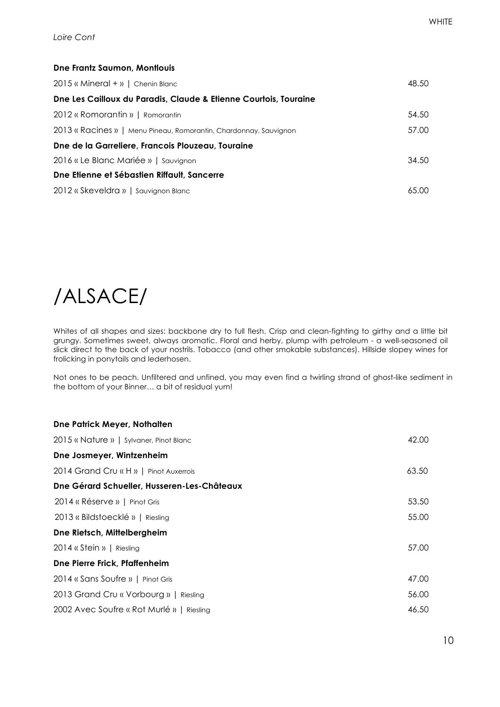#### **Dne Frantz Saumon, Montlouis**

| 2015 « Mineral + »   Chenin Blanc                                 | 48.50 |
|-------------------------------------------------------------------|-------|
| Dne Les Cailloux du Paradis, Claude & Etienne Courtois, Touraine  |       |
| 2012 « Romorantin »   Romorantin                                  | 54.50 |
| 2013 « Racines »   Menu Pineau, Romorantin, Chardonnay, Sauvignon | 57.00 |
| Dne de la Garreliere, Francois Plouzeau, Touraine                 |       |
| 2016 « Le Blanc Mariée »   Sauvignon                              | 34.50 |
| Dne Etienne et Sébastien Riffault, Sancerre                       |       |
| 2012 « Skeveldra »   Sauvignon Blanc                              | 65.00 |

### /ALSACE/

Whites of all shapes and sizes: backbone dry to full flesh. Crisp and clean-fighting to girthy and a little bit grungy. Sometimes sweet, always aromatic. Floral and herby, plump with petroleum - a well-seasoned oil slick direct to the back of your nostrils. Tobacco (and other smokable substances). Hillside slopey wines for frolicking in ponytails and lederhosen.

Not ones to be peach. Unfiltered and unfined, you may even find a twirling strand of ghost-like sediment in the bottom of your Binner… a bit of residual yum!

| Dne Patrick Meyer, Nothalten                |       |
|---------------------------------------------|-------|
| 2015 « Nature »   Sylvaner, Pinot Blanc     | 42.00 |
| Dne Josmeyer, Wintzenheim                   |       |
| 2014 Grand Cru « H »   Pinot Auxerrois      | 63.50 |
| Dne Gérard Schueller, Husseren-Les-Châteaux |       |
| 2014 « Réserve »   Pinot Gris               | 53.50 |
| 2013 « Bildstoecklé »   Riesling            | 55.00 |
| Dne Rietsch, Mittelbergheim                 |       |
| 2014 « Stein »   Riesling                   | 57.00 |
| Dne Pierre Frick, Pfaffenheim               |       |
| 2014 « Sans Soufre »   Pinot Gris           | 47.00 |
| 2013 Grand Cru « Vorbourg »   Riesling      | 56.00 |
| 2002 Avec Soufre « Rot Murlé »   Riesling   | 46.50 |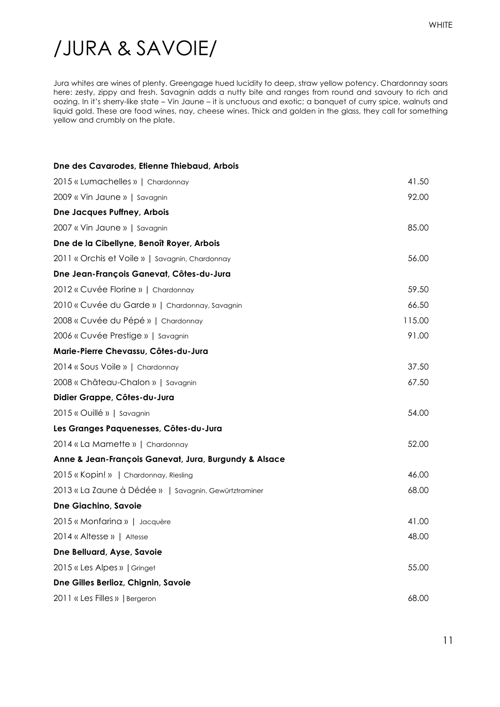### /JURA & SAVOIE/

Jura whites are wines of plenty. Greengage hued lucidity to deep, straw yellow potency. Chardonnay soars here: zesty, zippy and fresh. Savagnin adds a nutty bite and ranges from round and savoury to rich and oozing. In it's sherry-like state – Vin Jaune – it is unctuous and exotic; a banquet of curry spice, walnuts and liquid gold. These are food wines, nay, cheese wines. Thick and golden in the glass, they call for something yellow and crumbly on the plate.

| Dne des Cavarodes, Etienne Thiebaud, Arbois           |        |
|-------------------------------------------------------|--------|
| 2015 « Lumachelles »   Chardonnay                     | 41.50  |
| 2009 « Vin Jaune »   Savagnin                         | 92.00  |
| <b>Dne Jacques Puffney, Arbois</b>                    |        |
| 2007 « Vin Jaune »   Savagnin                         | 85.00  |
| Dne de la Cibellyne, Benoît Royer, Arbois             |        |
| 2011 « Orchis et Voile »   Savagnin, Chardonnay       | 56.00  |
| Dne Jean-François Ganevat, Côtes-du-Jura              |        |
| 2012 « Cuvée Florine »   Chardonnay                   | 59.50  |
| 2010 « Cuvée du Garde »   Chardonnay, Savagnin        | 66.50  |
| 2008 « Cuvée du Pépé »   Chardonnay                   | 115.00 |
| 2006 « Cuvée Prestige »   Savagnin                    | 91.00  |
| Marie-Pierre Chevassu, Côtes-du-Jura                  |        |
| 2014 « Sous Voile »   Chardonnay                      | 37.50  |
| 2008 « Château-Chalon »   Savagnin                    | 67.50  |
| Didier Grappe, Côtes-du-Jura                          |        |
| 2015 « Ouillé »   Savagnin                            | 54.00  |
| Les Granges Paquenesses, Côtes-du-Jura                |        |
| 2014 « La Mamette »   Chardonnay                      | 52.00  |
| Anne & Jean-François Ganevat, Jura, Burgundy & Alsace |        |
| 2015 « Kopin! »   Chardonnay, Riesling                | 46.00  |
| 2013 « La Zaune à Dédée »   Savagnin, Gewürtztraminer | 68.00  |
| <b>Dne Giachino, Savoie</b>                           |        |
| 2015 « Monfarina »   Jacquère                         | 41.00  |
| 2014 « Altesse »   Altesse                            | 48.00  |
| Dne Belluard, Ayse, Savoie                            |        |
| 2015 « Les Alpes »   Gringet                          | 55.00  |
| Dne Gilles Berlioz, Chignin, Savoie                   |        |
| 2011 « Les Filles »   Bergeron                        | 68.00  |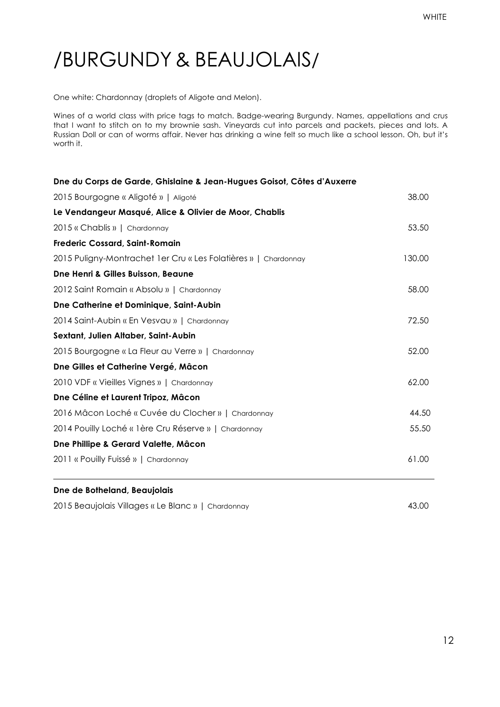### /BURGUNDY & BEAUJOLAIS/

One white: Chardonnay (droplets of Aligote and Melon).

Wines of a world class with price tags to match. Badge-wearing Burgundy. Names, appellations and crus that I want to stitch on to my brownie sash. Vineyards cut into parcels and packets, pieces and lots. A Russian Doll or can of worms affair. Never has drinking a wine felt so much like a school lesson. Oh, but it's worth it.

| Dne du Corps de Garde, Ghislaine & Jean-Hugues Goisot, Côtes d'Auxerre |        |
|------------------------------------------------------------------------|--------|
| 2015 Bourgogne « Aligoté »   Aligoté                                   | 38.00  |
| Le Vendangeur Masqué, Alice & Olivier de Moor, Chablis                 |        |
| 2015 « Chablis »   Chardonnay                                          | 53.50  |
| <b>Frederic Cossard, Saint-Romain</b>                                  |        |
| 2015 Puligny-Montrachet 1er Cru « Les Folatières »   Chardonnay        | 130.00 |
| <b>Dne Henri &amp; Gilles Buisson, Beaune</b>                          |        |
| 2012 Saint Romain « Absolu »   Chardonnay                              | 58.00  |
| Dne Catherine et Dominique, Saint-Aubin                                |        |
| 2014 Saint-Aubin « En Vesvau »   Chardonnay                            | 72.50  |
| Sextant, Julien Altaber, Saint-Aubin                                   |        |
| 2015 Bourgogne « La Fleur au Verre »   Chardonnay                      | 52.00  |
| Dne Gilles et Catherine Vergé, Mâcon                                   |        |
| 2010 VDF « Vieilles Vignes »   Chardonnay                              | 62.00  |
| Dne Céline et Laurent Tripoz, Mâcon                                    |        |
| 2016 Mâcon Loché « Cuvée du Clocher »   Chardonnay                     | 44.50  |
| 2014 Pouilly Loché « 1ère Cru Réserve »   Chardonnay                   | 55.50  |
| Dne Phillipe & Gerard Valette, Mâcon                                   |        |
| 2011 « Pouilly Fuissé »   Chardonnay                                   | 61.00  |

#### **Dne de Botheland, Beaujolais**

2015 Beaujolais Villages « Le Blanc » | Chardonnay 43.00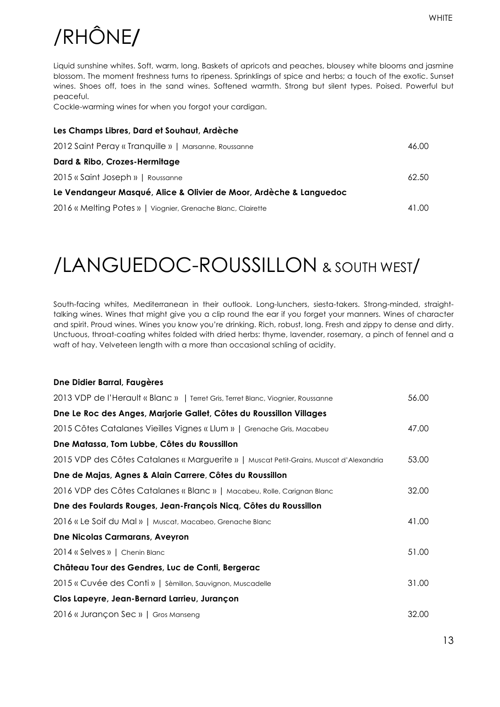13

# /RHÔNE**/**

Liquid sunshine whites. Soft, warm, long. Baskets of apricots and peaches, blousey white blooms and jasmine blossom. The moment freshness turns to ripeness. Sprinklings of spice and herbs; a touch of the exotic. Sunset wines. Shoes off, toes in the sand wines. Softened warmth. Strong but silent types. Poised. Powerful but peaceful.

Cockle-warming wines for when you forgot your cardigan.

| Les Champs Libres, Dard et Souhaut, Ardèche                        |       |
|--------------------------------------------------------------------|-------|
| 2012 Saint Peray « Tranquille »   Marsanne, Roussanne              | 46.00 |
| Dard & Ribo, Crozes-Hermitage                                      |       |
| 2015 « Saint Joseph »   Roussanne                                  | 62.50 |
| Le Vendangeur Masqué, Alice & Olivier de Moor, Ardèche & Languedoc |       |
| 2016 « Melting Potes »   Viognier, Grenache Blanc, Clairette       | 41.00 |

### /LANGUEDOC-ROUSSILLON & SOUTH WEST/

South-facing whites, Mediterranean in their outlook. Long-lunchers, siesta-takers. Strong-minded, straighttalking wines. Wines that might give you a clip round the ear if you forget your manners. Wines of character and spirit. Proud wines. Wines you know you're drinking. Rich, robust, long. Fresh and zippy to dense and dirty. Unctuous, throat-coating whites folded with dried herbs: thyme, lavender, rosemary, a pinch of fennel and a waft of hay. Velveteen length with a more than occasional schling of acidity.

### **Dne Didier Barral, Faugères** 2013 VDP de l'Herault « Blanc » | Terret Gris, Terret Blanc, Viognier, Roussanne 56.00 **Dne Le Roc des Anges, Marjorie Gallet, Côtes du Roussillon Villages** 2015 Côtes Catalanes Vieilles Vignes « Llum » | Grenache Gris, Macabeu 47.00 **Dne Matassa, Tom Lubbe, Côtes du Roussillon** 2015 VDP des Côtes Catalanes « Marguerite » | Muscat Petit-Grains, Muscat d'Alexandria 53.00 **Dne de Majas, Agnes & Alain Carrere, Côtes du Roussillon** 2016 VDP des Côtes Catalanes « Blanc » | Macabeu, Rolle, Carignan Blanc 32.00 **Dne des Foulards Rouges, Jean-François Nicq, Côtes du Roussillon** 2016 « Le Soif du Mal » | Muscat, Macabeo, Grenache Blanc 41.00 **Dne Nicolas Carmarans, Aveyron** 2014 « Selves » | Chenin Blanc 51.00 **Château Tour des Gendres, Luc de Conti, Bergerac**  2015 « Cuvée des Conti » | Sèmillon, Sauvignon, Muscadelle 31.00 **Clos Lapeyre, Jean-Bernard Larrieu, Jurançon** 2016 « Jurançon Sec » | Gros Manseng 32.00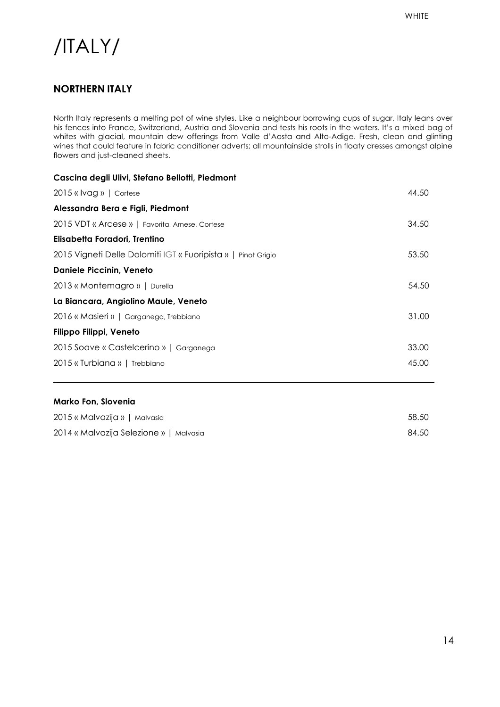### /ITALY/

#### **NORTHERN ITALY**

North Italy represents a melting pot of wine styles. Like a neighbour borrowing cups of sugar, Italy leans over his fences into France, Switzerland, Austria and Slovenia and tests his roots in the waters. It's a mixed bag of whites with glacial, mountain dew offerings from Valle d'Aosta and Alto-Adige. Fresh, clean and glinting wines that could feature in fabric conditioner adverts; all mountainside strolls in floaty dresses amongst alpine flowers and just-cleaned sheets.

| Cascina degli Ulivi, Stefano Bellotti, Piedmont               |       |
|---------------------------------------------------------------|-------|
| $2015$ « $V$ ag »   Cortese                                   | 44.50 |
| Alessandra Bera e Figli, Piedmont                             |       |
| 2015 VDT « Arcese »   Favorita, Arnese, Cortese               | 34.50 |
| Elisabetta Foradori, Trentino                                 |       |
| 2015 Vigneti Delle Dolomiti IGT « Fuoripista »   Pinot Grigio | 53.50 |
| <b>Daniele Piccinin, Veneto</b>                               |       |
| 2013 « Montemagro »   Durella                                 | 54.50 |
| La Biancara, Angiolino Maule, Veneto                          |       |
| 2016 « Masieri »   Garganega, Trebbiano                       | 31.00 |
| Filippo Filippi, Veneto                                       |       |
| 2015 Soave « Castelcerino »   Garganega                       | 33.00 |
| 2015 « Turbiana »   Trebbiano                                 | 45.00 |
|                                                               |       |

#### **Marko Fon, Slovenia**

| 2015 « Malvazija »   Malvasia           | 58.50 |
|-----------------------------------------|-------|
| 2014 « Malvazija Selezione »   Malvasia | 84.50 |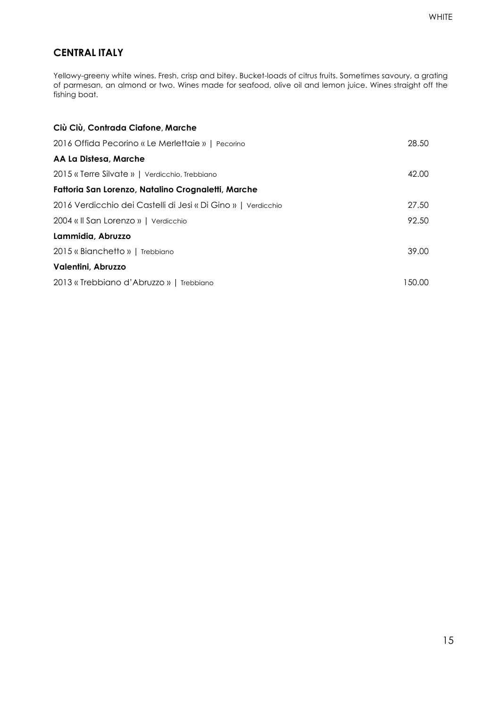#### **CENTRAL ITALY**

Yellowy-greeny white wines. Fresh, crisp and bitey. Bucket-loads of citrus fruits. Sometimes savoury, a grating of parmesan, an almond or two. Wines made for seafood, olive oil and lemon juice. Wines straight off the fishing boat.

| Ciù Ciù, Contrada Ciafone, Marche                             |        |
|---------------------------------------------------------------|--------|
| 2016 Offida Pecorino « Le Merlettaie »   Pecorino             | 28.50  |
| AA La Distesa, Marche                                         |        |
| 2015 « Terre Silvate »   Verdicchio, Trebbiano                | 42.00  |
| Fattoria San Lorenzo, Natalino Crognaletti, Marche            |        |
| 2016 Verdicchio dei Castelli di Jesi « Di Gino »   Verdicchio | 27.50  |
| 2004 « Il San Lorenzo »   Verdicchio                          | 92.50  |
| Lammidia, Abruzzo                                             |        |
| 2015 « Bianchetto »   Trebbiano                               | 39.00  |
| Valentini, Abruzzo                                            |        |
| 2013 « Trebbiano d'Abruzzo »   Trebbiano                      | 150.00 |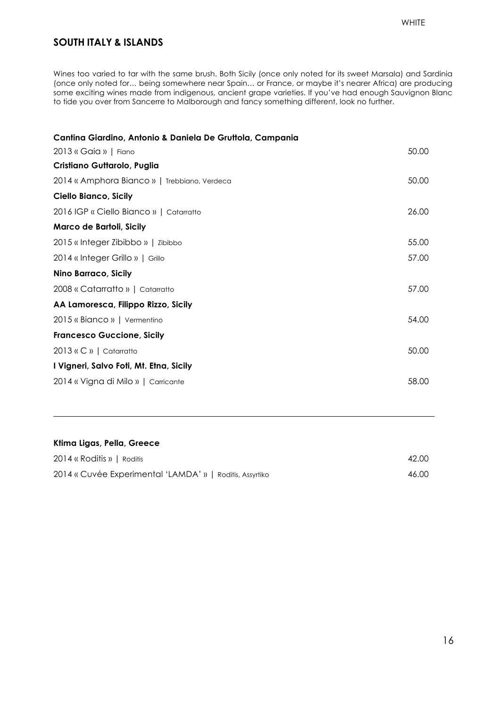#### **SOUTH ITALY & ISLANDS**

Wines too varied to tar with the same brush. Both Sicily (once only noted for its sweet Marsala) and Sardinia (once only noted for… being somewhere near Spain… or France, or maybe it's nearer Africa) are producing some exciting wines made from indigenous, ancient grape varieties. If you've had enough Sauvignon Blanc to tide you over from Sancerre to Malborough and fancy something different, look no further.

| Cantina Giardino, Antonio & Daniela De Gruttola, Campania |       |
|-----------------------------------------------------------|-------|
| 2013 « Gaia »   Fiano                                     | 50.00 |
| Cristiano Guttarolo, Puglia                               |       |
| 2014 « Amphora Bianco »   Trebbiano, Verdeca              | 50.00 |
| Ciello Bianco, Sicily                                     |       |
| 2016 IGP « Ciello Bianco »   Catarratto                   | 26.00 |
| Marco de Bartoli, Sicily                                  |       |
| 2015 « Integer Zibibbo »   Zibibbo                        | 55.00 |
| 2014 « Integer Grillo »   Grillo                          | 57.00 |
| <b>Nino Barraco, Sicily</b>                               |       |
| 2008 « Catarratto »   Catarratto                          | 57.00 |
| AA Lamoresca, Filippo Rizzo, Sicily                       |       |
| 2015 « Bianco »   Vermentino                              | 54.00 |
| <b>Francesco Guccione, Sicily</b>                         |       |
| 2013 « C »   Catarratto                                   | 50.00 |
| I Vigneri, Salvo Foti, Mt. Etna, Sicily                   |       |
| 2014 « Vigna di Milo »   Carricante                       | 58.00 |
|                                                           |       |

### **Ktima Ligas, Pella, Greece** 2014 « Roditis » | Roditis 42.00 2014 « Cuvée Experimental 'LAMDA' » | Roditis, Assyrtiko 46.00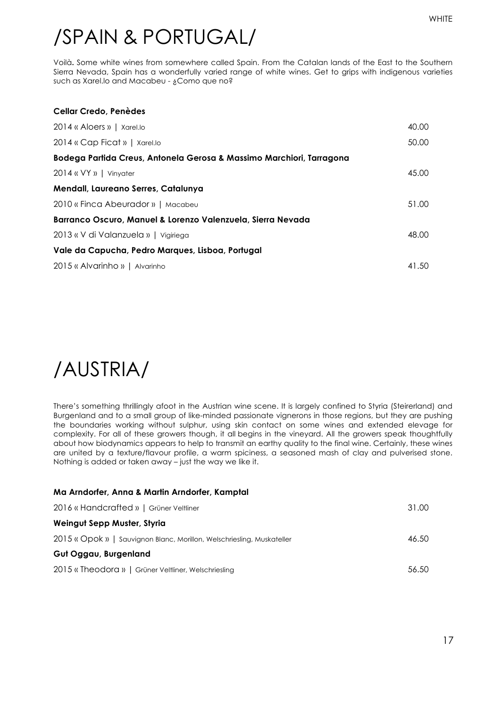## /SPAIN & PORTUGAL/

Voilà**.** Some white wines from somewhere called Spain. From the Catalan lands of the East to the Southern Sierra Nevada, Spain has a wonderfully varied range of white wines. Get to grips with indigenous varieties such as Xarel.lo and Macabeu - ¿Como que no?

| <b>Cellar Credo, Penèdes</b>                                         |       |
|----------------------------------------------------------------------|-------|
| 2014 « Aloers »   Xarel.lo                                           | 40.00 |
| 2014 « Cap Ficat »   Xarel.lo                                        | 50.00 |
| Bodega Partida Creus, Antonela Gerosa & Massimo Marchiori, Tarragona |       |
| $2014$ « $VY$ »   Vinyater                                           | 45.00 |
| Mendall, Laureano Serres, Catalunya                                  |       |
| 2010 « Finca Abeurador »   Macabeu                                   | 51.00 |
| Barranco Oscuro, Manuel & Lorenzo Valenzuela, Sierra Nevada          |       |
| 2013 « V di Valanzuela »   Vigiriega                                 | 48.00 |
| Vale da Capucha, Pedro Marques, Lisboa, Portugal                     |       |
| 2015 « Alvarinho »   Alvarinho                                       | 41.50 |

### /AUSTRIA/

There's something thrillingly afoot in the Austrian wine scene. It is largely confined to Styria (Steirerland) and Burgenland and to a small group of like-minded passionate vignerons in those regions, but they are pushing the boundaries working without sulphur, using skin contact on some wines and extended elevage for complexity. For all of these growers though, it all begins in the vineyard. All the growers speak thoughtfully about how biodynamics appears to help to transmit an earthy quality to the final wine. Certainly, these wines are united by a texture/flavour profile, a warm spiciness, a seasoned mash of clay and pulverised stone. Nothing is added or taken away – just the way we like it.

| Ma Arndorfer, Anna & Martin Arndorfer, Kamptal                         |       |
|------------------------------------------------------------------------|-------|
| 2016 « Handcrafted »   Grüner Veltliner                                | 31.00 |
| Weingut Sepp Muster, Styria                                            |       |
| 2015 « Opok »   Sauvignon Blanc, Morillon, Welschriesling, Muskateller | 46.50 |
| Gut Oggau, Burgenland                                                  |       |
| 2015 « Theodora »   Grüner Veltliner, Welschriesling                   | 56.50 |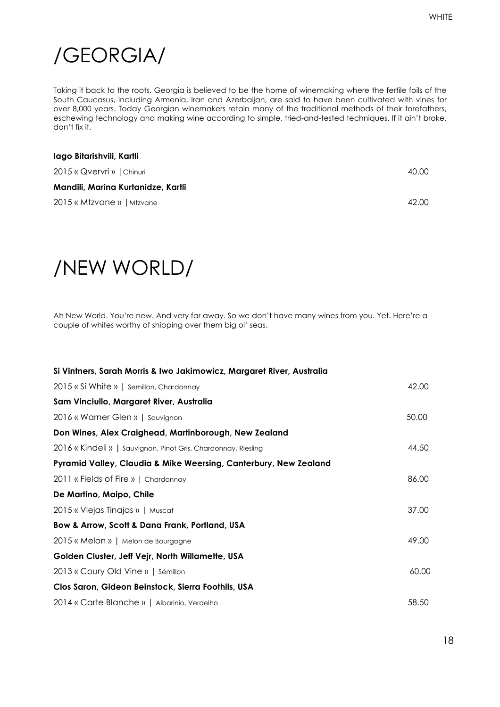### /GEORGIA/

Taking it back to the roots. Georgia is believed to be the home of winemaking where the fertile foils of the South Caucasus, including Armenia, Iran and Azerbaijan, are said to have been cultivated with vines for over 8,000 years. Today Georgian winemakers retain many of the traditional methods of their forefathers, eschewing technology and making wine according to simple, tried-and-tested techniques. If it ain't broke, don't fix it.

| lago Bitarishvili, Kartli          |       |
|------------------------------------|-------|
| 2015 « Qvervri »   Chinuri         | 40.00 |
| Mandili, Marina Kurtanidze, Kartli |       |
| 2015 « Mtzvane »   Mtzvane         | 42.00 |

### /NEW WORLD/

Ah New World. You're new. And very far away. So we don't have many wines from you. Yet. Here're a couple of whites worthy of shipping over them big ol' seas.

| Si Vintners, Sarah Morris & Iwo Jakimowicz, Margaret River, Australia |       |
|-----------------------------------------------------------------------|-------|
| 2015 « Si White »   Semillon, Chardonnay                              | 42.00 |
| Sam Vinciullo, Margaret River, Australia                              |       |
| 2016 « Warner Glen »   Sauvignon                                      | 50.00 |
| Don Wines, Alex Craighead, Martinborough, New Zealand                 |       |
| 2016 « Kindeli »   Sauvignon, Pinot Gris, Chardonnay, Riesling        | 44.50 |
| Pyramid Valley, Claudia & Mike Weersing, Canterbury, New Zealand      |       |
| 2011 « Fields of Fire »   Chardonnay                                  | 86.00 |
| De Martino, Maipo, Chile                                              |       |
| 2015 « Viejas Tinajas »   Muscat                                      | 37.00 |
| Bow & Arrow, Scott & Dana Frank, Portland, USA                        |       |
| 2015 « Melon »   Melon de Bourgogne                                   | 49.00 |
| Golden Cluster, Jeff Vejr, North Willamette, USA                      |       |
| 2013 « Coury Old Vine »   Sémillon                                    | 60.00 |
| Clos Saron, Gideon Beinstock, Sierra Foothils, USA                    |       |
| 2014 « Carte Blanche »   Albarinio, Verdelho                          | 58.50 |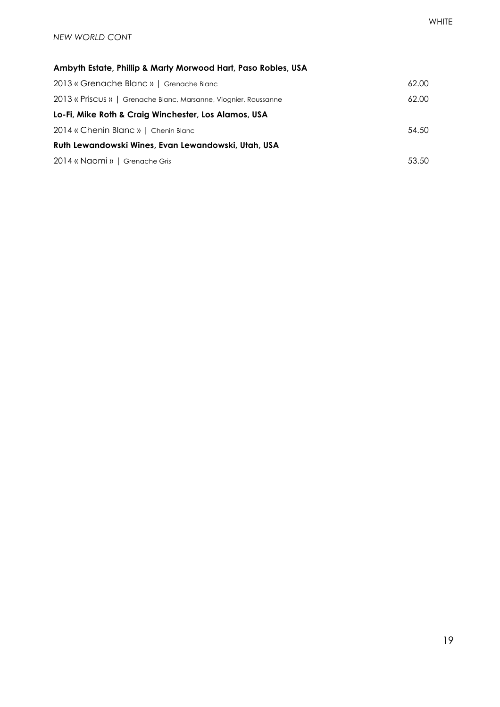#### **Ambyth Estate, Phillip & Marty Morwood Hart, Paso Robles, USA**

| 2013 « Grenache Blanc »   Grenache Blanc                         | 62.00 |
|------------------------------------------------------------------|-------|
| 2013 « Priscus »   Grenache Blanc, Marsanne, Viognier, Roussanne | 62.00 |
| Lo-Fi, Mike Roth & Craig Winchester, Los Alamos, USA             |       |
| 2014 « Chenin Blanc »   Chenin Blanc                             | 54.50 |
| Ruth Lewandowski Wines, Evan Lewandowski, Utah, USA              |       |
| 2014 « Naomi »   Grenache Gris                                   | 53.50 |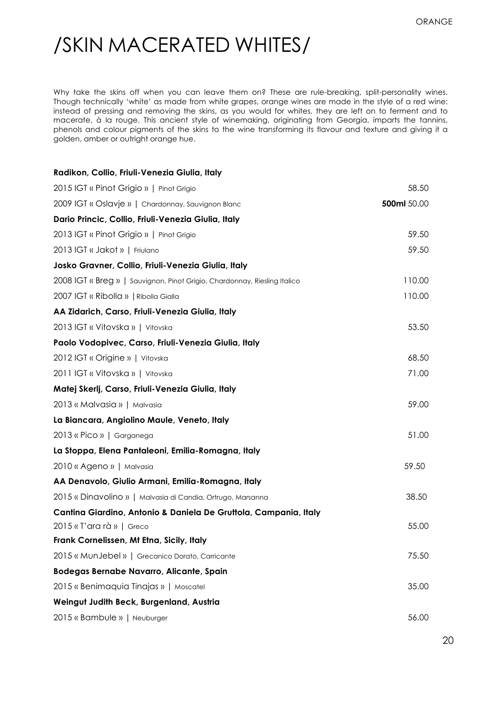### /SKIN MACERATED WHITES/

Why take the skins off when you can leave them on? These are rule-breaking, split-personality wines. Though technically 'white' as made from white grapes, orange wines are made in the style of a red wine: instead of pressing and removing the skins, as you would for whites, they are left on to ferment and to macerate, à la rouge. This ancient style of winemaking, originating from Georgia, imparts the tannins, phenols and colour pigments of the skins to the wine transforming its flavour and texture and giving it a golden, amber or outright orange hue.

| Radikon, Collio, Friuli-Venezia Giulia, Italy                             |             |
|---------------------------------------------------------------------------|-------------|
| 2015 IGT « Pinot Grigio »   Pinot Grigio                                  | 58.50       |
| 2009 IGT « Oslavje »   Chardonnay, Sauvignon Blanc                        | 500ml 50.00 |
| Dario Princic, Collio, Friuli-Venezia Giulia, Italy                       |             |
| 2013 IGT « Pinot Grigio »   Pinot Grigio                                  | 59.50       |
| 2013 IGT « Jakot »   Friulano                                             | 59.50       |
| Josko Gravner, Collio, Friuli-Venezia Giulia, Italy                       |             |
| 2008 IGT « Breg »   Sauvignon, Pinot Grigio, Chardonnay, Riesling Italico | 110.00      |
| 2007 IGT « Ribolla »   Ribolla Gialla                                     | 110.00      |
| AA Zidarich, Carso, Friuli-Venezia Giulia, Italy                          |             |
| 2013 IGT « Vitovska »   Vitovska                                          | 53.50       |
| Paolo Vodopivec, Carso, Friuli-Venezia Giulia, Italy                      |             |
| 2012 IGT « Origine »   Vitovska                                           | 68.50       |
| 2011 IGT « Vitovska »   Vitovska                                          | 71.00       |
| Matej Skerlj, Carso, Friuli-Venezia Giulia, Italy                         |             |
| 2013 « Malvasia »   Malvasia                                              | 59.00       |
| La Biancara, Angiolino Maule, Veneto, Italy                               |             |
| 2013 « Pico »   Garganega                                                 | 51.00       |
| La Stoppa, Elena Pantaleoni, Emilia-Romagna, Italy                        |             |
| 2010 « Ageno »   Malvasia                                                 | 59.50       |
| AA Denavolo, Giulio Armani, Emilia-Romagna, Italy                         |             |
| 2015 « Dinavolino »   Malvasia di Candia, Ortrugo, Marsanna               | 38.50       |
| Cantina Giardino, Antonio & Daniela De Gruttola, Campania, Italy          |             |
| 2015 « T'ara rà »   Greco                                                 | 55.00       |
| Frank Cornelissen, Mt Etna, Sicily, Italy                                 |             |
| 2015 « MunJebel »   Grecanico Dorato, Carricante                          | 75.50       |
| Bodegas Bernabe Navarro, Alicante, Spain                                  |             |
| 2015 « Benimaquia Tinajas »   Moscatel                                    | 35.00       |
| Weingut Judith Beck, Burgenland, Austria                                  |             |
| 2015 « Bambule »   Neuburger                                              | 56.00       |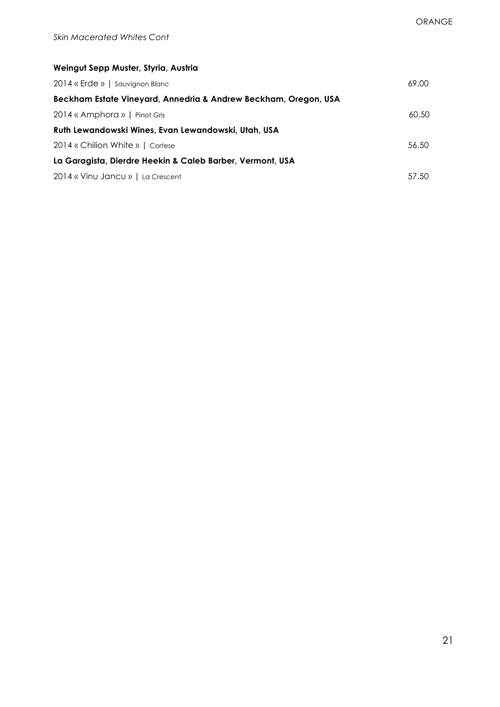| Weingut Sepp Muster, Styria, Austria                            |       |
|-----------------------------------------------------------------|-------|
| 2014 « Erde »   Sauvignon Blanc                                 | 69.00 |
| Beckham Estate Vineyard, Annedria & Andrew Beckham, Oregon, USA |       |
| 2014 « Amphora »   Pinot Gris                                   | 60.50 |
| Ruth Lewandowski Wines, Evan Lewandowski, Utah, USA             |       |
| 2014 « Chilion White »   Cortese                                | 56.50 |
| La Garagista, Dierdre Heekin & Caleb Barber, Vermont, USA       |       |
| 2014 « Vinu Jancu »   La Crescent                               | 57.50 |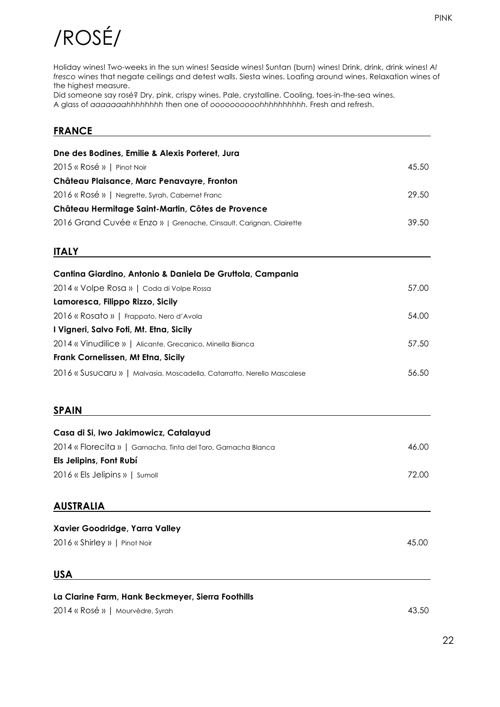# /ROSÉ/

Holiday wines! Two-weeks in the sun wines! Seaside wines! Suntan (burn) wines! Drink, drink, drink wines! *Al fresco* wines that negate ceilings and detest walls. Siesta wines. Loafing around wines. Relaxation wines of the highest measure.

Did someone say rosé? Dry, pink, crispy wines. Pale, crystalline. Cooling, toes-in-the-sea wines. A glass of *aaaaaaahhhhhhhh* then one of *oooooooooohhhhhhhhhh.* Fresh and refresh.

#### **FRANCE**

| Dne des Bodines, Emilie & Alexis Porteret, Jura                         |       |
|-------------------------------------------------------------------------|-------|
| 2015 « Rosé »   Pinot Noir                                              | 45.50 |
| Château Plaisance, Marc Penavayre, Fronton                              |       |
| 2016 « Rosé »   Negrette, Syrah, Cabernet Franc                         | 29.50 |
| Château Hermitage Saint-Martin, Côtes de Provence                       |       |
| 2016 Grand Cuvée « Enzo »   Grenache, Cinsault, Carignan, Clairette     | 39.50 |
| <b>ITALY</b>                                                            |       |
| Cantina Giardino, Antonio & Daniela De Gruttola, Campania               |       |
| 2014 « Volpe Rosa »   Coda di Volpe Rossa                               | 57.00 |
| Lamoresca, Filippo Rizzo, Sicily                                        |       |
| 2016 « Rosato »   Frappato, Nero d'Avola                                | 54.00 |
| I Vigneri, Salvo Foti, Mt. Etna, Sicily                                 |       |
| 2014 « Vinudilice »   Alicante, Grecanico, Minella Bianca               | 57.50 |
| Frank Cornelissen, Mt Etna, Sicily                                      |       |
| 2016 « Susucaru »   Malvasia, Moscadella, Catarratto, Nerello Mascalese | 56.50 |
| <b>SPAIN</b>                                                            |       |
| Casa di Si, Iwo Jakimowicz, Catalayud                                   |       |
| 2014 « Florecita »   Garnacha, Tinta del Toro, Garnacha Blanca          | 46.00 |
| Els Jelipins, Font Rubí                                                 |       |
| 2016 « Els Jelipins »   Sumoll                                          | 72.00 |
| <b>AUSTRALIA</b>                                                        |       |
| Xavier Goodridge, Yarra Valley                                          |       |
| 2016 « Shirley »   Pinot Noir                                           | 45.00 |
| <b>USA</b>                                                              |       |
| La Clarine Farm, Hank Beckmeyer, Sierra Foothills                       |       |

2014 « Rosé » | Mourvèdre, Syrah 43.50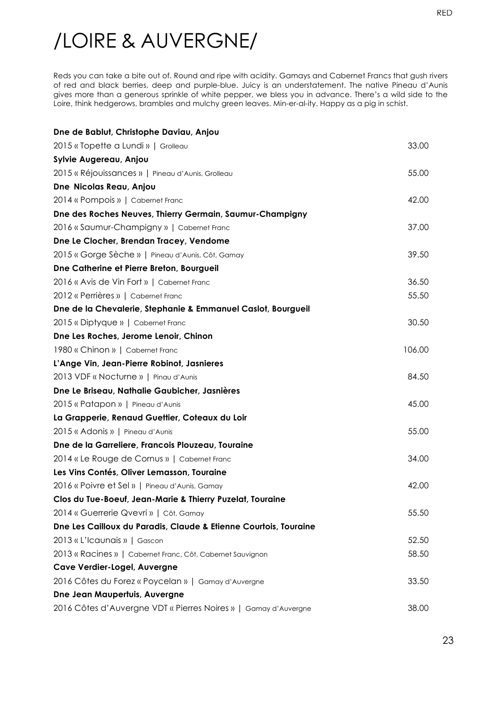## /LOIRE & AUVERGNE/

Reds you can take a bite out of. Round and ripe with acidity. Gamays and Cabernet Francs that gush rivers of red and black berries, deep and purple-blue. Juicy is an understatement. The native Pineau d'Aunis gives more than a generous sprinkle of white pepper, we bless you in advance. There's a wild side to the Loire, think hedgerows, brambles and mulchy green leaves. Min-er-al-ity. Happy as a pig in schist.

| Dne de Bablut, Christophe Daviau, Anjou                          |        |
|------------------------------------------------------------------|--------|
| 2015 « Topette a Lundi »   Grolleau                              | 33.00  |
| Sylvie Augereau, Anjou                                           |        |
| 2015 « Réjouissances »   Pineau d'Aunis, Grolleau                | 55.00  |
| Dne Nicolas Reau, Anjou                                          |        |
| 2014 « Pompois »   Cabernet Franc                                | 42.00  |
| Dne des Roches Neuves, Thierry Germain, Saumur-Champigny         |        |
| 2016 « Saumur-Champigny »   Cabernet Franc                       | 37.00  |
| Dne Le Clocher, Brendan Tracey, Vendome                          |        |
| 2015 « Gorge Sèche »   Pineau d'Aunis, Côt, Gamay                | 39.50  |
| Dne Catherine et Pierre Breton, Bourgueil                        |        |
| 2016 « Avis de Vin Fort »   Cabernet Franc                       | 36.50  |
| 2012 « Perrières »   Cabernet Franc                              | 55.50  |
| Dne de la Chevalerie, Stephanie & Emmanuel Caslot, Bourgueil     |        |
| 2015 « Diptyque »   Cabernet Franc                               | 30.50  |
| Dne Les Roches, Jerome Lenoir, Chinon                            |        |
| 1980 « Chinon »   Cabernet Franc                                 | 106.00 |
| L'Ange Vin, Jean-Pierre Robinot, Jasnieres                       |        |
| 2013 VDF « Nocturne »   Pinau d'Aunis                            | 84.50  |
| Dne Le Briseau, Nathalie Gaubicher, Jasnières                    |        |
| 2015 « Patapon »   Pineau d'Aunis                                | 45.00  |
| La Grapperie, Renaud Guettier, Coteaux du Loir                   |        |
| 2015 « Adonis »   Pineau d'Aunis                                 | 55.00  |
| Dne de la Garreliere, Francois Plouzeau, Touraine                |        |
| 2014 « Le Rouge de Cornus »   Cabernet Franc                     | 34.00  |
| Les Vins Contés, Oliver Lemasson, Touraine                       |        |
| 2016 « Poivre et Sel »   Pineau d'Aunis, Gamay                   | 42.00  |
| Clos du Tue-Boeuf, Jean-Marie & Thierry Puzelat, Touraine        |        |
| 2014 « Guerrerie Qvevri »   Côt, Gamay                           | 55.50  |
| Dne Les Cailloux du Paradis, Claude & Etienne Courtois, Touraine |        |
| 2013 « L'Icaunais »   Gascon                                     | 52.50  |
| 2013 « Racines »   Cabernet Franc, Côt, Cabernet Sauvignon       | 58.50  |
| Cave Verdier-Logel, Auvergne                                     |        |
| 2016 Côtes du Forez « Poycelan »   Gamay d'Auvergne              | 33.50  |
| Dne Jean Maupertuis, Auvergne                                    |        |
| 2016 Côtes d'Auvergne VDT « Pierres Noires »   Gamay d'Auvergne  | 38.00  |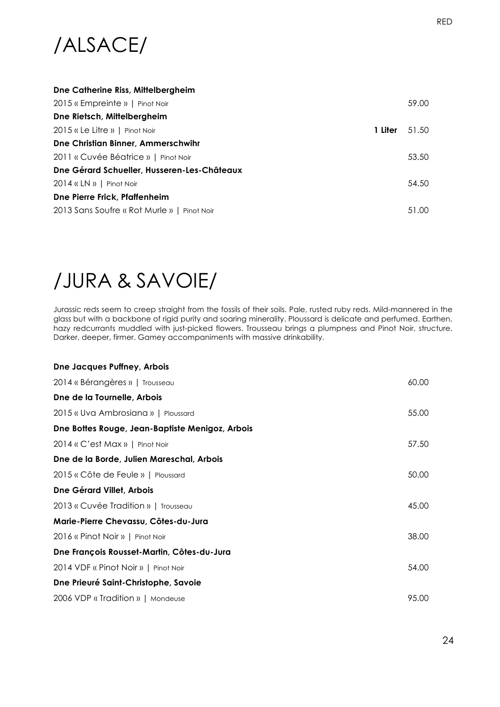

| Dne Catherine Riss, Mittelbergheim          |         |       |
|---------------------------------------------|---------|-------|
| 2015 « Empreinte »   Pinot Noir             |         | 59.00 |
| Dne Rietsch, Mittelbergheim                 |         |       |
| 2015 « Le Litre »   Pinot Noir              | 1 Liter | 51.50 |
| Dne Christian Binner, Ammerschwihr          |         |       |
| 2011 « Cuvée Béatrice »   Pinot Noir        |         | 53.50 |
| Dne Gérard Schueller, Husseren-Les-Châteaux |         |       |
| $2014$ « LN »   Pinot Noir                  |         | 54.50 |
| Dne Pierre Frick, Pfaffenheim               |         |       |
| 2013 Sans Soufre « Rot Murle »   Pinot Noir |         | 51.00 |

### /JURA & SAVOIE/

Jurassic reds seem to creep straight from the fossils of their soils. Pale, rusted ruby reds. Mild-mannered in the glass but with a backbone of rigid purity and soaring minerality. Ploussard is delicate and perfumed. Earthen, hazy redcurrants muddled with just-picked flowers. Trousseau brings a plumpness and Pinot Noir, structure. Darker, deeper, firmer. Gamey accompaniments with massive drinkability.

| <b>Dne Jacques Puffney, Arbois</b>              |       |
|-------------------------------------------------|-------|
| 2014 « Bérangères »   Trousseau                 | 60.00 |
| Dne de la Tournelle, Arbois                     |       |
| 2015 « Uva Ambrosiana »   Ploussard             | 55.00 |
| Dne Bottes Rouge, Jean-Baptiste Menigoz, Arbois |       |
| 2014 « C'est Max »   Pinot Noir                 | 57.50 |
| Dne de la Borde, Julien Mareschal, Arbois       |       |
| 2015 « Côte de Feule »   Ploussard              | 50.00 |
| <b>Dne Gérard Villet, Arbois</b>                |       |
| 2013 « Cuvée Tradition »   Trousseau            | 45.00 |
| Marie-Pierre Chevassu, Côtes-du-Jura            |       |
| 2016 « Pinot Noir »   Pinot Noir                | 38.00 |
| Dne François Rousset-Martin, Côtes-du-Jura      |       |
| 2014 VDF « Pinot Noir »   Pinot Noir            | 54.00 |
| Dne Prieuré Saint-Christophe, Savoie            |       |
| 2006 VDP « Tradition »   Mondeuse               | 95.00 |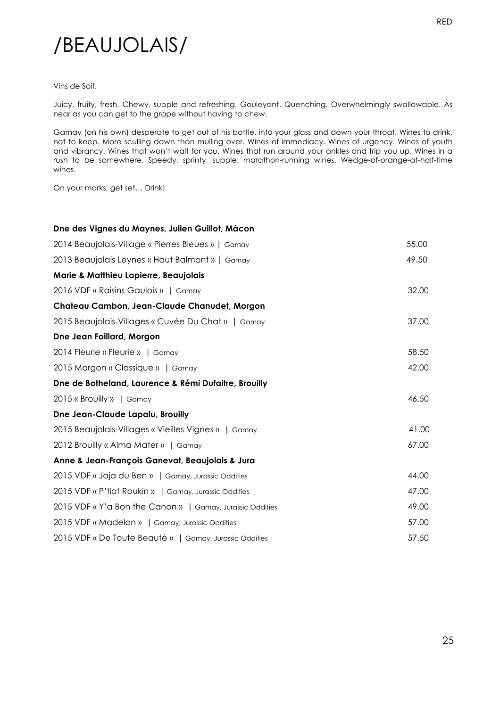### /BEAUJOLAIS/

#### Vins de Soif.

Juicy, fruity, fresh. Chewy, supple and refreshing. Gouleyant. Quenching. Overwhelmingly swallowable. As near as you can get to the grape without having to chew.

Gamay (on his own) desperate to get out of his bottle, into your glass and down your throat. Wines to drink, not to keep. More sculling down than mulling over. Wines of immediacy. Wines of urgency. Wines of youth and vibrancy. Wines that won't wait for you. Wines that run around your ankles and trip you up. Wines in a rush to be somewhere. Speedy, sprinty, supple, marathon-running wines. Wedge-of-orange-at-half-time wines.

On your marks, get set… Drink!

#### **Dne des Vignes du Maynes, Julien Guillot, Mâcon**

| 2014 Beaujolais-Village « Pierres Bleues »   Gamay        | 55.00 |
|-----------------------------------------------------------|-------|
| 2013 Beaujolais Leynes « Haut Balmont »   Gamay           | 49.50 |
| Marie & Matthieu Lapierre, Beaujolais                     |       |
| 2016 VDF « Raisins Gaulois »   Gamay                      | 32.00 |
| Chateau Cambon, Jean-Claude Chanudet, Morgon              |       |
| 2015 Beaujolais-Villages « Cuvée Du Chat »   Gamay        | 37.00 |
| Dne Jean Foillard, Morgon                                 |       |
| 2014 Fleurie « Fleurie »   Gamay                          | 58.50 |
| 2015 Morgon « Classique »   Gamay                         | 42.00 |
| Dne de Botheland, Laurence & Rémi Dufaitre, Brouilly      |       |
| 2015 « Brouilly »   Gamay                                 | 46.50 |
| Dne Jean-Claude Lapalu, Brouilly                          |       |
| 2015 Beaujolais-Villages « Vieilles Vignes »   Gamay      | 41.00 |
| 2012 Brouilly « Alma Mater »   Gamay                      | 67.00 |
| Anne & Jean-François Ganevat, Beaujolais & Jura           |       |
| 2015 VDF « Jaja du Ben »   Gamay, Jurassic Oddities       | 44.00 |
| 2015 VDF « P'tiot Roukin »   Gamay, Jurassic Oddities     | 47.00 |
| 2015 VDF « Y'a Bon the Canon »   Gamay, Jurassic Oddities | 49.00 |
| 2015 VDF « Madelon »   Gamay, Jurassic Oddities           | 57.00 |
| 2015 VDF « De Toute Beauté »   Gamay, Jurassic Oddities   | 57.50 |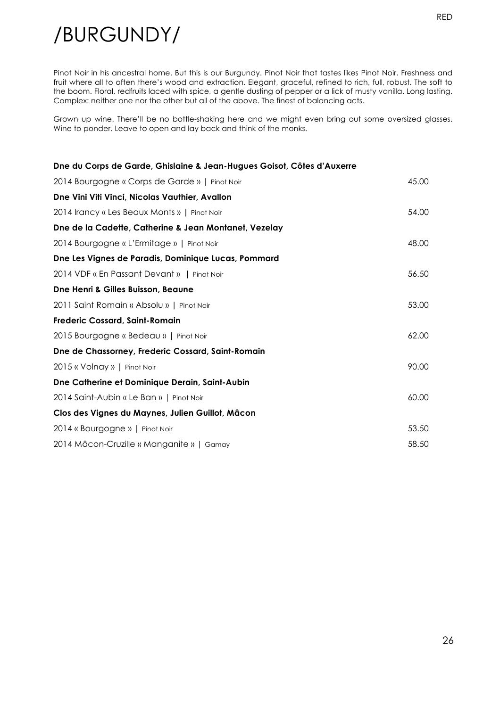/BURGUNDY/

Pinot Noir in his ancestral home. But this is our Burgundy. Pinot Noir that tastes likes Pinot Noir. Freshness and fruit where all to often there's wood and extraction. Elegant, graceful, refined to rich, full, robust. The soft to the boom. Floral, redfruits laced with spice, a gentle dusting of pepper or a lick of musty vanilla. Long lasting. Complex: neither one nor the other but all of the above. The finest of balancing acts.

Grown up wine. There'll be no bottle-shaking here and we might even bring out some oversized glasses. Wine to ponder. Leave to open and lay back and think of the monks.

| Dne du Corps de Garde, Ghislaine & Jean-Hugues Goisot, Côtes d'Auxerre |       |
|------------------------------------------------------------------------|-------|
| 2014 Bourgogne « Corps de Garde »   Pinot Noir                         | 45.00 |
| Dne Vini Viti Vinci, Nicolas Vauthier, Avallon                         |       |
| 2014 Irancy « Les Beaux Monts »   Pinot Noir                           | 54.00 |
| Dne de la Cadette, Catherine & Jean Montanet, Vezelay                  |       |
| 2014 Bourgogne « L'Ermitage »   Pinot Noir                             | 48.00 |
| Dne Les Vignes de Paradis, Dominique Lucas, Pommard                    |       |
| 2014 VDF « En Passant Devant »   Pinot Noir                            | 56.50 |
| Dne Henri & Gilles Buisson, Beaune                                     |       |
| 2011 Saint Romain « Absolu »   Pinot Noir                              | 53.00 |
| <b>Frederic Cossard, Saint-Romain</b>                                  |       |
| 2015 Bourgogne « Bedeau »   Pinot Noir                                 | 62.00 |
| Dne de Chassorney, Frederic Cossard, Saint-Romain                      |       |
| 2015 « Volnay »   Pinot Noir                                           | 90.00 |
| Dne Catherine et Dominique Derain, Saint-Aubin                         |       |
| 2014 Saint-Aubin « Le Ban »   Pinot Noir                               | 60.00 |
| Clos des Vignes du Maynes, Julien Guillot, Mâcon                       |       |
| 2014 « Bourgogne »   Pinot Noir                                        | 53.50 |
| 2014 Mâcon-Cruzille « Manganite »   Gamay                              | 58.50 |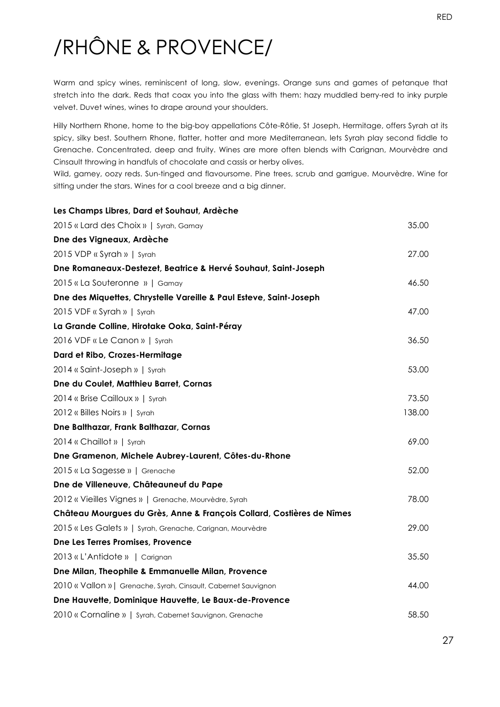# /RHÔNE & PROVENCE/

Warm and spicy wines, reminiscent of long, slow, evenings. Orange suns and games of petanque that stretch into the dark. Reds that coax you into the glass with them: hazy muddled berry-red to inky purple velvet. Duvet wines, wines to drape around your shoulders.

Hilly Northern Rhone, home to the big-boy appellations Côte-Rôtie, St Joseph, Hermitage, offers Syrah at its spicy, silky best. Southern Rhone, flatter, hotter and more Mediterranean, lets Syrah play second fiddle to Grenache. Concentrated, deep and fruity. Wines are more often blends with Carignan, Mourvèdre and Cinsault throwing in handfuls of chocolate and cassis or herby olives.

Wild, gamey, oozy reds. Sun-tinged and flavoursome. Pine trees, scrub and garrigue. Mourvèdre. Wine for sitting under the stars. Wines for a cool breeze and a big dinner.

| Les Champs Libres, Dard et Souhaut, Ardèche                           |        |
|-----------------------------------------------------------------------|--------|
| 2015 « Lard des Choix »   Syrah, Gamay                                | 35.00  |
| Dne des Vigneaux, Ardèche                                             |        |
| 2015 VDP « Syrah »   Syrah                                            | 27.00  |
| Dne Romaneaux-Destezet, Beatrice & Hervé Souhaut, Saint-Joseph        |        |
| 2015 «La Souteronne »   Gamay                                         | 46.50  |
| Dne des Miquettes, Chrystelle Vareille & Paul Esteve, Saint-Joseph    |        |
| 2015 VDF « Syrah »   Syrah                                            | 47.00  |
| La Grande Colline, Hirotake Ooka, Saint-Péray                         |        |
| 2016 VDF « Le Canon »   Syrah                                         | 36.50  |
| Dard et Ribo, Crozes-Hermitage                                        |        |
| 2014 « Saint-Joseph »   Syrah                                         | 53.00  |
| Dne du Coulet, Matthieu Barret, Cornas                                |        |
| 2014 « Brise Cailloux »   Syrah                                       | 73.50  |
| 2012 « Billes Noirs »   Syrah                                         | 138.00 |
| Dne Balthazar, Frank Balthazar, Cornas                                |        |
| 2014 « Chaillot »   Syrah                                             | 69.00  |
| Dne Gramenon, Michele Aubrey-Laurent, Côtes-du-Rhone                  |        |
| 2015 « La Sagesse »   Grenache                                        | 52.00  |
| Dne de Villeneuve, Châteauneuf du Pape                                |        |
| 2012 « Vieilles Vignes »   Grenache, Mourvèdre, Syrah                 | 78.00  |
| Château Mourgues du Grès, Anne & François Collard, Costières de Nîmes |        |
| 2015 « Les Galets »   Syrah, Grenache, Carignan, Mourvèdre            | 29.00  |
| Dne Les Terres Promises, Provence                                     |        |
| 2013 « L'Antidote »   Carignan                                        | 35.50  |
| Dne Milan, Theophile & Emmanuelle Milan, Provence                     |        |
| 2010 « Vallon »   Grenache, Syrah, Cinsault, Cabernet Sauvignon       | 44.00  |
| Dne Hauvette, Dominique Hauvette, Le Baux-de-Provence                 |        |
| 2010 « Cornaline »   Syrah, Cabernet Sauvignon, Grenache              | 58.50  |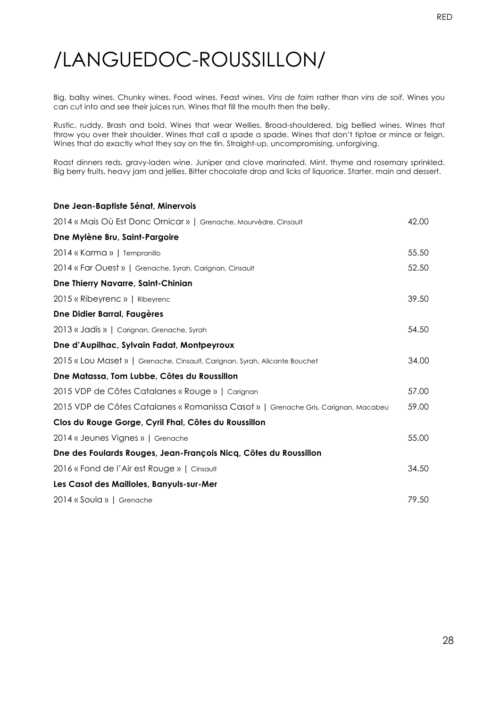Big, ballsy wines. Chunky wines. Food wines. Feast wines. *Vins de faim* rather than *vins de soif*. Wines you can cut into and see their juices run. Wines that fill the mouth then the belly.

Rustic, ruddy. Brash and bold. Wines that wear Wellies. Broad-shouldered, big bellied wines. Wines that throw you over their shoulder. Wines that call a spade a spade. Wines that don't tiptoe or mince or feign. Wines that do exactly what they say on the tin. Straight-up, uncompromising, unforgiving.

Roast dinners reds, gravy-laden wine. Juniper and clove marinated. Mint, thyme and rosemary sprinkled. Big berry fruits, heavy jam and jellies. Bitter chocolate drop and licks of liquorice. Starter, main and dessert.

| Dne Jean-Baptiste Sénat, Minervois                                                 |       |
|------------------------------------------------------------------------------------|-------|
| 2014 « Mais Où Est Donc Ornicar »   Grenache, Mourvèdre, Cinsault                  | 42.00 |
| Dne Mylène Bru, Saint-Pargoire                                                     |       |
| 2014 « Karma »   Tempranillo                                                       | 55.50 |
| 2014 « Far Ouest »   Grenache, Syrah, Carignan, Cinsault                           | 52.50 |
| Dne Thierry Navarre, Saint-Chinian                                                 |       |
| 2015 « Ribeyrenc »   Ribeyrenc                                                     | 39.50 |
| Dne Didier Barral, Faugères                                                        |       |
| 2013 « Jadis »   Carignan, Grenache, Syrah                                         | 54.50 |
| Dne d'Aupilhac, Sylvain Fadat, Montpeyroux                                         |       |
| 2015 « Lou Maset »   Grenache, Cinsault, Carignan, Syrah, Alicante Bouchet         | 34.00 |
| Dne Matassa, Tom Lubbe, Côtes du Roussillon                                        |       |
| 2015 VDP de Côtes Catalanes « Rouge »   Carignan                                   | 57.00 |
| 2015 VDP de Côtes Catalanes « Romanissa Casot »   Grenache Gris, Carignan, Macabeu | 59.00 |
| Clos du Rouge Gorge, Cyril Fhal, Côtes du Roussillon                               |       |
| 2014 « Jeunes Vignes »   Grenache                                                  | 55.00 |
| Dne des Foulards Rouges, Jean-François Nicq, Côtes du Roussillon                   |       |
| 2016 « Fond de l'Air est Rouge »   Cinsault                                        | 34.50 |
| Les Casot des Mailloles, Banyuls-sur-Mer                                           |       |
| 2014 « Soula »   Grenache                                                          | 79.50 |
|                                                                                    |       |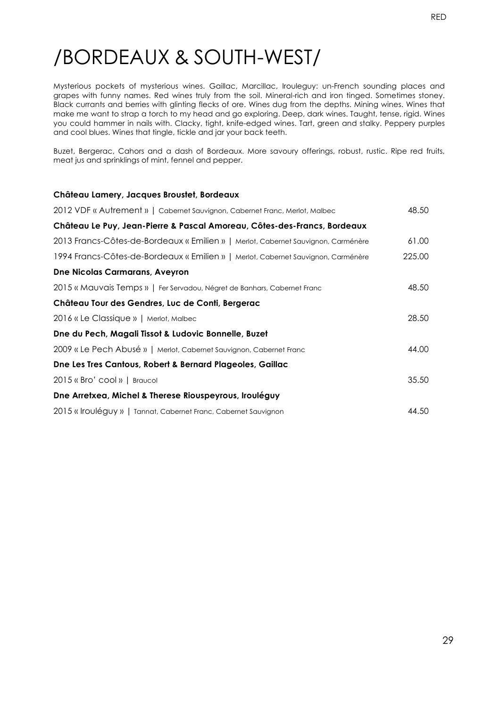### /BORDEAUX & SOUTH-WEST/

Mysterious pockets of mysterious wines. Gaillac, Marcillac, Irouleguy: un-French sounding places and grapes with funny names. Red wines truly from the soil. Mineral-rich and iron tinged. Sometimes stoney. Black currants and berries with glinting flecks of ore. Wines dug from the depths. Mining wines. Wines that make me want to strap a torch to my head and go exploring. Deep, dark wines. Taught, tense, rigid. Wines you could hammer in nails with. Clacky, tight, knife-edged wines. Tart, green and stalky. Peppery purples and cool blues. Wines that tingle, tickle and jar your back teeth.

Buzet, Bergerac, Cahors and a dash of Bordeaux. More savoury offerings, robust, rustic. Ripe red fruits, meat jus and sprinklings of mint, fennel and pepper.

#### **Château Lamery, Jacques Broustet, Bordeaux**

| 2012 VDF « Autrement »   Cabernet Sauvignon, Cabernet Franc, Merlot, Malbec       | 48.50  |
|-----------------------------------------------------------------------------------|--------|
| Château Le Puy, Jean-Pierre & Pascal Amoreau, Côtes-des-Francs, Bordeaux          |        |
| 2013 Francs-Côtes-de-Bordeaux « Emilien »   Merlot, Cabernet Sauvignon, Carménère | 61.00  |
| 1994 Francs-Côtes-de-Bordeaux « Emilien »   Merlot, Cabernet Sauvignon, Carménère | 225.00 |
| <b>Dne Nicolas Carmarans, Aveyron</b>                                             |        |
| 2015 « Mauvais Temps »   Fer Servadou, Négret de Banhars, Cabernet Franc          | 48.50  |
| Château Tour des Gendres, Luc de Conti, Bergerac                                  |        |
| 2016 « Le Classique »   Merlot, Malbec                                            | 28.50  |
| Dne du Pech, Magali Tissot & Ludovic Bonnelle, Buzet                              |        |
| 2009 « Le Pech Abusé »   Merlot, Cabernet Sauvignon, Cabernet Franc               | 44.00  |
| Dne Les Tres Cantous, Robert & Bernard Plageoles, Gaillac                         |        |
| 2015 « Bro' cool »   Braucol                                                      | 35.50  |
| Dne Arretxea, Michel & Therese Riouspeyrous, Irouléguy                            |        |
| 2015 « Irouléguy »   Tannat, Cabernet Franc, Cabernet Sauvignon                   | 44.50  |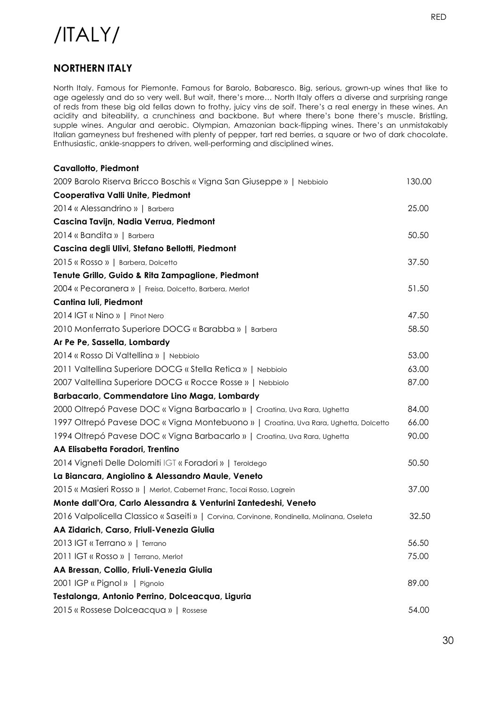### /ITALY/

#### **NORTHERN ITALY**

North Italy. Famous for Piemonte. Famous for Barolo, Babaresco. Big, serious, grown-up wines that like to age agelessly and do so very well. But wait, there's more… North Italy offers a diverse and surprising range of reds from these big old fellas down to frothy, juicy vins de soif. There's a real energy in these wines. An acidity and biteability, a crunchiness and backbone. But where there's bone there's muscle. Bristling, supple wines. Angular and aerobic. Olympian, Amazonian back-flipping wines. There's an unmistakably Italian gameyness but freshened with plenty of pepper, tart red berries, a square or two of dark chocolate. Enthusiastic, ankle-snappers to driven, well-performing and disciplined wines.

| <b>Cavallotto, Piedmont</b>                                                                |        |
|--------------------------------------------------------------------------------------------|--------|
| 2009 Barolo Riserva Bricco Boschis « Vigna San Giuseppe »   Nebbiolo                       | 130.00 |
| Cooperativa Valli Unite, Piedmont                                                          |        |
| 2014 « Alessandrino »   Barbera                                                            | 25.00  |
| Cascina Tavijn, Nadia Verrua, Piedmont                                                     |        |
| 2014 « Bandita »   Barbera                                                                 | 50.50  |
| Cascina degli Ulivi, Stefano Bellotti, Piedmont                                            |        |
| 2015 « Rosso »   Barbera, Dolcetto                                                         | 37.50  |
| Tenute Grillo, Guido & Rita Zampaglione, Piedmont                                          |        |
| 2004 « Pecoranera »   Freisa, Dolcetto, Barbera, Merlot                                    | 51.50  |
| Cantina Iuli, Piedmont                                                                     |        |
| 2014 IGT « Nino »   Pinot Nero                                                             | 47.50  |
| 2010 Monferrato Superiore DOCG « Barabba »   Barbera                                       | 58.50  |
| Ar Pe Pe, Sassella, Lombardy                                                               |        |
| 2014 « Rosso Di Valtellina »   Nebbiolo                                                    | 53.00  |
| 2011 Valtellina Superiore DOCG « Stella Retica »   Nebbiolo                                | 63.00  |
| 2007 Valtellina Superiore DOCG « Rocce Rosse »   Nebbiolo                                  | 87.00  |
| Barbacarlo, Commendatore Lino Maga, Lombardy                                               |        |
| 2000 Oltrepó Pavese DOC « Vigna Barbacarlo »   Croatina, Uva Rara, Ughetta                 | 84.00  |
| 1997 Oltrepó Pavese DOC « Vigna Montebuono »   Croatina, Uva Rara, Ughetta, Dolcetto       | 66.00  |
| 1994 Oltrepó Pavese DOC « Vigna Barbacarlo »   Croatina, Uva Rara, Ughetta                 | 90.00  |
| AA Elisabetta Foradori, Trentino                                                           |        |
| 2014 Vigneti Delle Dolomiti IGT « Foradori »   Teroldego                                   | 50.50  |
| La Biancara, Angiolino & Alessandro Maule, Veneto                                          |        |
| 2015 « Masieri Rosso »   Merlot, Cabernet Franc, Tocai Rosso, Lagrein                      | 37.00  |
| Monte dall'Ora, Carlo Alessandra & Venturini Zantedeshi, Veneto                            |        |
| 2016 Valpolicella Classico « Saseiti »   Corvina, Corvinone, Rondinella, Molinana, Oseleta | 32.50  |
| AA Zidarich, Carso, Friuli-Venezia Giulia                                                  |        |
| 2013 IGT « Terrano »   Terrano                                                             | 56.50  |
| 2011 IGT « Rosso »   Terrano, Merlot                                                       | 75.00  |
| AA Bressan, Collio, Friuli-Venezia Giulia                                                  |        |
| 2001 IGP « Pignol »   Pignolo                                                              | 89.00  |
| Testalonga, Antonio Perrino, Dolceacqua, Liguria                                           |        |
| 2015 « Rossese Dolceacqua »   Rossese                                                      | 54.00  |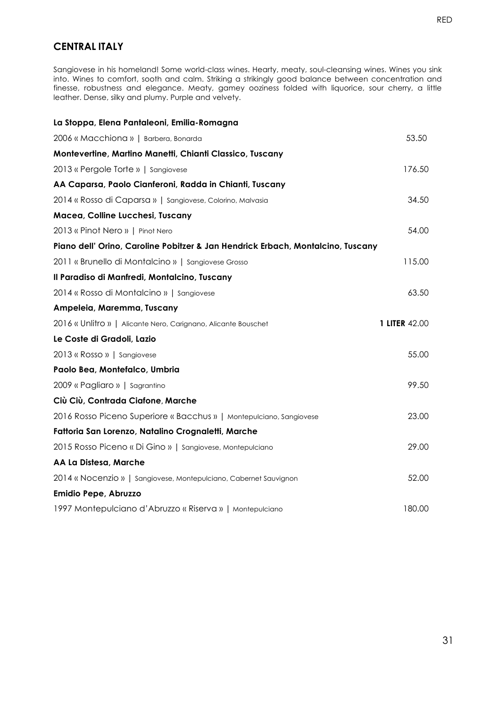#### **CENTRAL ITALY**

Sangiovese in his homeland! Some world-class wines. Hearty, meaty, soul-cleansing wines. Wines you sink into. Wines to comfort, sooth and calm. Striking a strikingly good balance between concentration and finesse, robustness and elegance. Meaty, gamey ooziness folded with liquorice, sour cherry, a little leather. Dense, silky and plumy. Purple and velvety.

| La Stoppa, Elena Pantaleoni, Emilia-Romagna                                     |                      |
|---------------------------------------------------------------------------------|----------------------|
| 2006 « Macchiona »   Barbera, Bonarda                                           | 53.50                |
| Montevertine, Martino Manetti, Chianti Classico, Tuscany                        |                      |
| 2013 « Pergole Torte »   Sangiovese                                             | 176.50               |
| AA Caparsa, Paolo Cianferoni, Radda in Chianti, Tuscany                         |                      |
| 2014 « Rosso di Caparsa »   Sangiovese, Colorino, Malvasia                      | 34.50                |
| Macea, Colline Lucchesi, Tuscany                                                |                      |
| 2013 « Pinot Nero »   Pinot Nero                                                | 54.00                |
| Piano dell' Orino, Caroline Pobitzer & Jan Hendrick Erbach, Montalcino, Tuscany |                      |
| 2011 « Brunello di Montalcino »   Sangiovese Grosso                             | 115.00               |
| Il Paradiso di Manfredi, Montalcino, Tuscany                                    |                      |
| 2014 « Rosso di Montalcino »   Sangiovese                                       | 63.50                |
| Ampeleia, Maremma, Tuscany                                                      |                      |
| 2016 « Unlitro »   Alicante Nero, Carignano, Alicante Bouschet                  | <b>1 LITER 42.00</b> |
| Le Coste di Gradoli, Lazio                                                      |                      |
| 2013 « Rosso »   Sangiovese                                                     | 55.00                |
| Paolo Bea, Montefalco, Umbria                                                   |                      |
| 2009 « Pagliaro »   Sagrantino                                                  | 99.50                |
| Ciù Ciù, Contrada Ciafone, Marche                                               |                      |
| 2016 Rosso Piceno Superiore « Bacchus »   Montepulciano, Sangiovese             | 23.00                |
| Fattoria San Lorenzo, Natalino Crognaletti, Marche                              |                      |
| 2015 Rosso Piceno « Di Gino »   Sangiovese, Montepulciano                       | 29.00                |
| AA La Distesa, Marche                                                           |                      |
| 2014 « Nocenzio »   Sangiovese, Montepulciano, Cabernet Sauvignon               | 52.00                |
| Emidio Pepe, Abruzzo                                                            |                      |
| 1997 Montepulciano d'Abruzzo « Riserva »   Montepulciano                        | 180.00               |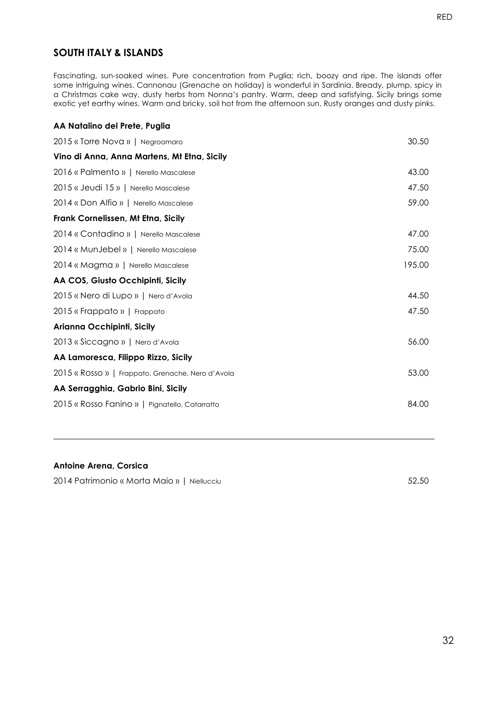Fascinating, sun-soaked wines. Pure concentration from Puglia; rich, boozy and ripe. The islands offer some intriguing wines. Cannonau (Grenache on holiday) is wonderful in Sardinia. Bready, plump, spicy in a Christmas cake way, dusty herbs from Nonna's pantry. Warm, deep and satisfying. Sicily brings some exotic yet earthy wines. Warm and bricky, soil hot from the afternoon sun. Rusty oranges and dusty pinks.

| AA Natalino del Prete, Puglia                     |        |
|---------------------------------------------------|--------|
| 2015 « Torre Nova »   Negroamaro                  | 30.50  |
| Vino di Anna, Anna Martens, Mt Etna, Sicily       |        |
| 2016 « Palmento »   Nerello Mascalese             | 43.00  |
| 2015 « Jeudi 15 »   Nerello Mascalese             | 47.50  |
| 2014 « Don Alfio »   Nerello Mascalese            | 59.00  |
| Frank Cornelissen, Mt Etna, Sicily                |        |
| 2014 « Contadino »   Nerello Mascalese            | 47.00  |
| 2014 « MunJebel »   Nerello Mascalese             | 75.00  |
| 2014 « Magma »   Nerello Mascalese                | 195.00 |
| AA COS, Giusto Occhipinti, Sicily                 |        |
| 2015 « Nero di Lupo »   Nero d'Avola              | 44.50  |
| 2015 « Frappato »   Frappato                      | 47.50  |
| Arianna Occhipinti, Sicily                        |        |
| 2013 « Siccagno »   Nero d'Avola                  | 56.00  |
| AA Lamoresca, Filippo Rizzo, Sicily               |        |
| 2015 « Rosso »   Frappato, Grenache, Nero d'Avola | 53.00  |
| AA Serragghia, Gabrio Bini, Sicily                |        |
| 2015 « Rosso Fanino »   Pignatello, Catarratto    | 84.00  |

#### **Antoine Arena, Corsica**

2014 Patrimonio « Morta Maio » | Niellucciu 52.50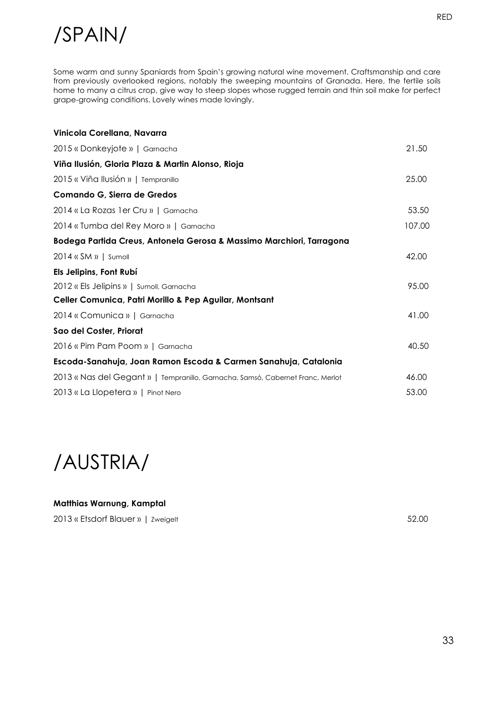### /SPAIN/

Some warm and sunny Spaniards from Spain's growing natural wine movement. Craftsmanship and care from previously overlooked regions, notably the sweeping mountains of Granada. Here, the fertile soils home to many a citrus crop, give way to steep slopes whose rugged terrain and thin soil make for perfect grape-growing conditions. Lovely wines made lovingly.

| Vinicola Corellana, Navarra                                                    |        |
|--------------------------------------------------------------------------------|--------|
| 2015 « Donkeyjote »   Garnacha                                                 | 21.50  |
| Viña Ilusión, Gloria Plaza & Martin Alonso, Rioja                              |        |
| 2015 « Viña Ilusión »   Tempranillo                                            | 25.00  |
| Comando G, Sierra de Gredos                                                    |        |
| 2014 « La Rozas 1 er Cru »   Garnacha                                          | 53.50  |
| 2014 « Tumba del Rey Moro »   Garnacha                                         | 107.00 |
| Bodega Partida Creus, Antonela Gerosa & Massimo Marchiori, Tarragona           |        |
| $2014$ « SM »   Sumoll                                                         | 42.00  |
| Els Jelipins, Font Rubí                                                        |        |
| 2012 « Els Jelipins »   Sumoll, Garnacha                                       | 95.00  |
| Celler Comunica, Patri Morillo & Pep Aguilar, Montsant                         |        |
| 2014 « Comunica »   Garnacha                                                   | 41.00  |
| Sao del Coster, Priorat                                                        |        |
| 2016 « Pim Pam Poom »   Garnacha                                               | 40.50  |
| Escoda-Sanahuja, Joan Ramon Escoda & Carmen Sanahuja, Catalonia                |        |
| 2013 « Nas del Gegant »   Tempranillo, Garnacha, Samsó, Cabernet Franc, Merlot | 46.00  |
| 2013 « La Llopetera »   Pinot Nero                                             | 53.00  |



### **Matthias Warnung, Kamptal**

2013 « Etsdorf Blauer » | Zweigelt 52.00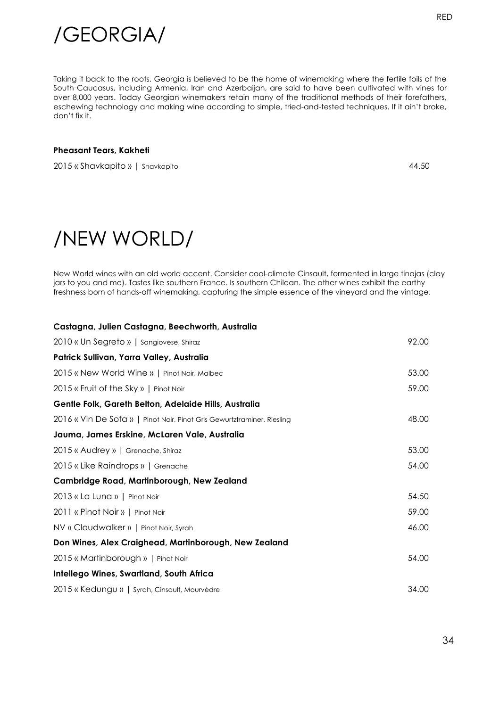

Taking it back to the roots. Georgia is believed to be the home of winemaking where the fertile foils of the South Caucasus, including Armenia, Iran and Azerbaijan, are said to have been cultivated with vines for over 8,000 years. Today Georgian winemakers retain many of the traditional methods of their forefathers, eschewing technology and making wine according to simple, tried-and-tested techniques. If it ain't broke, don't fix it.

#### **Pheasant Tears, Kakheti**

2015 « Shavkapito » | Shavkapito 44.50

### /NEW WORLD/

New World wines with an old world accent. Consider cool-climate Cinsault, fermented in large tinajas (clay jars to you and me). Tastes like southern France. Is southern Chilean. The other wines exhibit the earthy freshness born of hands-off winemaking, capturing the simple essence of the vineyard and the vintage.

#### **Castagna, Julien Castagna, Beechworth, Australia**

| 2010 « Un Segreto »   Sangiovese, Shiraz                                | 92.00 |
|-------------------------------------------------------------------------|-------|
| Patrick Sullivan, Yarra Valley, Australia                               |       |
| 2015 « New World Wine »   Pinot Noir, Malbec                            | 53.00 |
| 2015 « Fruit of the Sky »   Pinot Noir                                  | 59.00 |
| Gentle Folk, Gareth Belton, Adelaide Hills, Australia                   |       |
| 2016 « Vin De Sofa »   Pinot Noir, Pinot Gris Gewurtztraminer, Riesling | 48.00 |
| Jauma, James Erskine, McLaren Vale, Australia                           |       |
| 2015 « Audrey »   Grenache, Shiraz                                      | 53.00 |
| 2015 « Like Raindrops »   Grenache                                      | 54.00 |
| Cambridge Road, Martinborough, New Zealand                              |       |
| 2013 « La Luna »   Pinot Noir                                           | 54.50 |
| 2011 « Pinot Noir »   Pinot Noir                                        | 59.00 |
| NV « Cloudwalker »   Pinot Noir, Syrah                                  | 46.00 |
| Don Wines, Alex Craighead, Martinborough, New Zealand                   |       |
| 2015 « Martinborough »   Pinot Noir                                     | 54.00 |
| <b>Intellego Wines, Swartland, South Africa</b>                         |       |
| 2015 « Kedungu »   Syrah, Cinsault, Mourvèdre                           | 34.00 |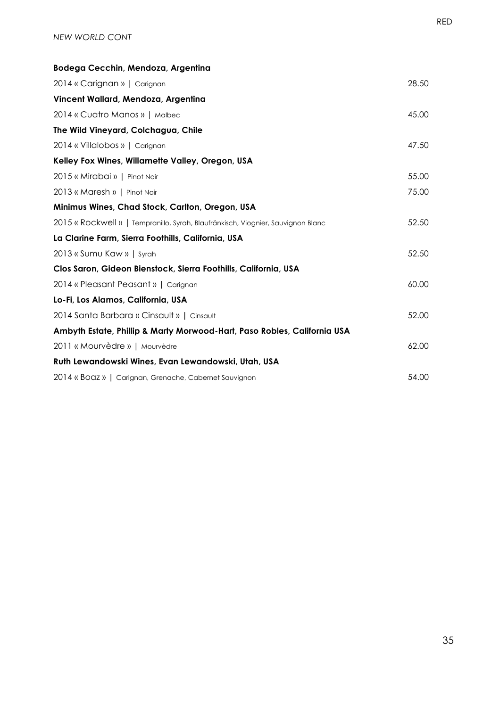| Bodega Cecchin, Mendoza, Argentina                                               |       |
|----------------------------------------------------------------------------------|-------|
| 2014 « Carignan »   Carignan                                                     | 28.50 |
| Vincent Wallard, Mendoza, Argentina                                              |       |
| 2014 « Cuatro Manos »   Malbec                                                   | 45.00 |
| The Wild Vineyard, Colchagua, Chile                                              |       |
| 2014 « Villalobos »   Carignan                                                   | 47.50 |
| Kelley Fox Wines, Willamette Valley, Oregon, USA                                 |       |
| 2015 « Mirabai »   Pinot Noir                                                    | 55.00 |
| 2013 « Maresh »   Pinot Noir                                                     | 75.00 |
| Minimus Wines, Chad Stock, Carlton, Oregon, USA                                  |       |
| 2015 « Rockwell »   Tempranillo, Syrah, Blaufränkisch, Viognier, Sauvignon Blanc | 52.50 |
| La Clarine Farm, Sierra Foothills, California, USA                               |       |
| 2013 « Sumu Kaw »   Syrah                                                        | 52.50 |
| Clos Saron, Gideon Bienstock, Sierra Foothills, California, USA                  |       |
| 2014 « Pleasant Peasant »   Carignan                                             | 60.00 |
| Lo-Fi, Los Alamos, California, USA                                               |       |
| 2014 Santa Barbara « Cinsault »   Cinsault                                       | 52.00 |
| Ambyth Estate, Phillip & Marty Morwood-Hart, Paso Robles, California USA         |       |
| 2011 « Mourvèdre »   Mourvèdre                                                   | 62.00 |
| Ruth Lewandowski Wines, Evan Lewandowski, Utah, USA                              |       |
| 2014 « Boaz »   Carignan, Grenache, Cabernet Sauvignon                           | 54.00 |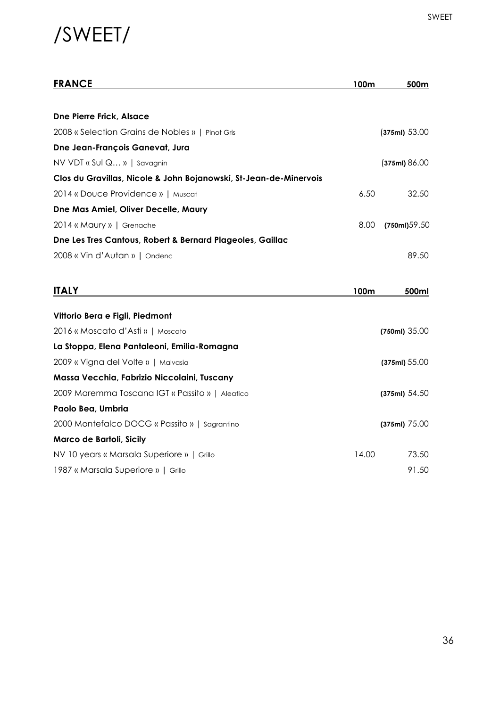### /SWEET/

| <b>FRANCE</b>                                                     | 100m  | 500m            |
|-------------------------------------------------------------------|-------|-----------------|
|                                                                   |       |                 |
| <b>Dne Pierre Frick, Alsace</b>                                   |       |                 |
| 2008 « Selection Grains de Nobles »   Pinot Gris                  |       | (375ml) 53.00   |
| Dne Jean-François Ganevat, Jura                                   |       |                 |
| NV VDT « Sul Q »   Savagnin                                       |       | (375ml) 86.00   |
| Clos du Gravillas, Nicole & John Bojanowski, St-Jean-de-Minervois |       |                 |
| 2014 « Douce Providence »   Muscat                                | 6.50  | 32.50           |
| Dne Mas Amiel, Oliver Decelle, Maury                              |       |                 |
| 2014 « Maury »   Grenache                                         | 8.00  | (750ml)59.50    |
| Dne Les Tres Cantous, Robert & Bernard Plageoles, Gaillac         |       |                 |
| 2008 « Vin d'Autan »   Ondenc                                     |       | 89.50           |
|                                                                   |       |                 |
| <b>ITALY</b>                                                      | 100m  | 500ml           |
|                                                                   |       |                 |
| Vittorio Bera e Figli, Piedmont                                   |       |                 |
| 2016 « Moscato d'Asti »   Moscato                                 |       | $(750ml)$ 35.00 |
| La Stoppa, Elena Pantaleoni, Emilia-Romagna                       |       |                 |
| 2009 « Vigna del Volte »   Malvasia                               |       | (375ml) 55.00   |
| Massa Vecchia, Fabrizio Niccolaini, Tuscany                       |       |                 |
| 2009 Maremma Toscana IGT « Passito »   Aleatico                   |       | (375ml) 54.50   |
| Paolo Bea, Umbria                                                 |       |                 |
| 2000 Montefalco DOCG « Passito »   Sagrantino                     |       | (375ml) 75.00   |
| Marco de Bartoli, Sicily                                          |       |                 |
| NV 10 years « Marsala Superiore »   Grillo                        | 14.00 | 73.50           |
| 1987 « Marsala Superiore »   Grillo                               |       | 91.50           |